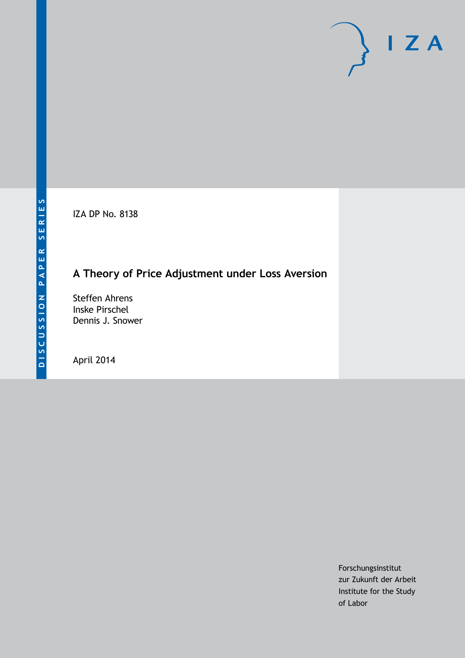IZA DP No. 8138

## **A Theory of Price Adjustment under Loss Aversion**

Steffen Ahrens Inske Pirschel Dennis J. Snower

April 2014

Forschungsinstitut zur Zukunft der Arbeit Institute for the Study of Labor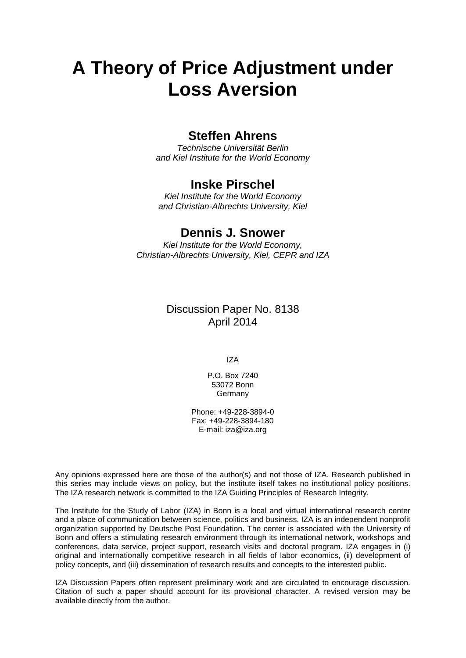# **A Theory of Price Adjustment under Loss Aversion**

## **Steffen Ahrens**

*Technische Universität Berlin and Kiel Institute for the World Economy*

## **Inske Pirschel**

*Kiel Institute for the World Economy and Christian-Albrechts University, Kiel*

## **Dennis J. Snower**

*Kiel Institute for the World Economy, Christian-Albrechts University, Kiel, CEPR and IZA*

## Discussion Paper No. 8138 April 2014

IZA

P.O. Box 7240 53072 Bonn **Germany** 

Phone: +49-228-3894-0 Fax: +49-228-3894-180 E-mail: [iza@iza.org](mailto:iza@iza.org)

Any opinions expressed here are those of the author(s) and not those of IZA. Research published in this series may include views on policy, but the institute itself takes no institutional policy positions. The IZA research network is committed to the IZA Guiding Principles of Research Integrity.

The Institute for the Study of Labor (IZA) in Bonn is a local and virtual international research center and a place of communication between science, politics and business. IZA is an independent nonprofit organization supported by Deutsche Post Foundation. The center is associated with the University of Bonn and offers a stimulating research environment through its international network, workshops and conferences, data service, project support, research visits and doctoral program. IZA engages in (i) original and internationally competitive research in all fields of labor economics, (ii) development of policy concepts, and (iii) dissemination of research results and concepts to the interested public.

<span id="page-1-0"></span>IZA Discussion Papers often represent preliminary work and are circulated to encourage discussion. Citation of such a paper should account for its provisional character. A revised version may be available directly from the author.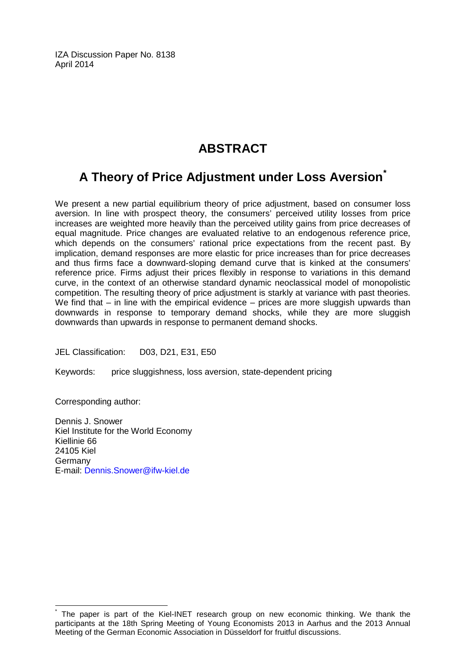IZA Discussion Paper No. 8138 April 2014

## **ABSTRACT**

## **A Theory of Price Adjustment under Loss Aversion[\\*](#page-1-0)**

We present a new partial equilibrium theory of price adjustment, based on consumer loss aversion. In line with prospect theory, the consumers' perceived utility losses from price increases are weighted more heavily than the perceived utility gains from price decreases of equal magnitude. Price changes are evaluated relative to an endogenous reference price, which depends on the consumers' rational price expectations from the recent past. By implication, demand responses are more elastic for price increases than for price decreases and thus firms face a downward-sloping demand curve that is kinked at the consumers' reference price. Firms adjust their prices flexibly in response to variations in this demand curve, in the context of an otherwise standard dynamic neoclassical model of monopolistic competition. The resulting theory of price adjustment is starkly at variance with past theories. We find that – in line with the empirical evidence – prices are more sluggish upwards than downwards in response to temporary demand shocks, while they are more sluggish downwards than upwards in response to permanent demand shocks.

JEL Classification: D03, D21, E31, E50

Keywords: price sluggishness, loss aversion, state-dependent pricing

Corresponding author:

Dennis J. Snower Kiel Institute for the World Economy Kiellinie 66 24105 Kiel Germany E-mail: [Dennis.Snower@ifw-kiel.de](mailto:Dennis.Snower@ifw-kiel.de)

The paper is part of the Kiel-INET research group on new economic thinking. We thank the participants at the 18th Spring Meeting of Young Economists 2013 in Aarhus and the 2013 Annual Meeting of the German Economic Association in Düsseldorf for fruitful discussions.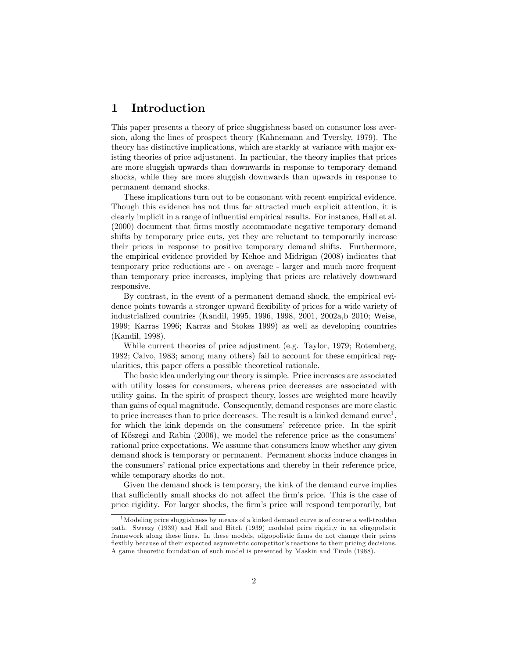## 1 Introduction

This paper presents a theory of price sluggishness based on consumer loss aversion, along the lines of prospect theory (Kahnemann and Tversky, 1979). The theory has distinctive implications, which are starkly at variance with major existing theories of price adjustment. In particular, the theory implies that prices are more sluggish upwards than downwards in response to temporary demand shocks, while they are more sluggish downwards than upwards in response to permanent demand shocks.

These implications turn out to be consonant with recent empirical evidence. Though this evidence has not thus far attracted much explicit attention, it is clearly implicit in a range of ináuential empirical results. For instance, Hall et al. (2000) document that firms mostly accommodate negative temporary demand shifts by temporary price cuts, yet they are reluctant to temporarily increase their prices in response to positive temporary demand shifts. Furthermore, the empirical evidence provided by Kehoe and Midrigan (2008) indicates that temporary price reductions are - on average - larger and much more frequent than temporary price increases, implying that prices are relatively downward responsive.

By contrast, in the event of a permanent demand shock, the empirical evidence points towards a stronger upward flexibility of prices for a wide variety of industrialized countries (Kandil, 1995, 1996, 1998, 2001, 2002a,b 2010; Weise, 1999; Karras 1996; Karras and Stokes 1999) as well as developing countries (Kandil, 1998).

While current theories of price adjustment (e.g. Taylor, 1979; Rotemberg, 1982; Calvo, 1983; among many others) fail to account for these empirical regularities, this paper offers a possible theoretical rationale.

The basic idea underlying our theory is simple. Price increases are associated with utility losses for consumers, whereas price decreases are associated with utility gains. In the spirit of prospect theory, losses are weighted more heavily than gains of equal magnitude. Consequently, demand responses are more elastic to price increases than to price decreases. The result is a kinked demand  $curve<sup>1</sup>$ , for which the kink depends on the consumers' reference price. In the spirit of Kőszegi and Rabin  $(2006)$ , we model the reference price as the consumers' rational price expectations. We assume that consumers know whether any given demand shock is temporary or permanent. Permanent shocks induce changes in the consumers' rational price expectations and thereby in their reference price, while temporary shocks do not.

Given the demand shock is temporary, the kink of the demand curve implies that sufficiently small shocks do not affect the firm's price. This is the case of price rigidity. For larger shocks, the firm's price will respond temporarily, but

<sup>&</sup>lt;sup>1</sup>Modeling price sluggishness by means of a kinked demand curve is of course a well-trodden path. Sweezy (1939) and Hall and Hitch (1939) modeled price rigidity in an oligopolistic framework along these lines. In these models, oligopolistic Örms do not change their prices flexibly because of their expected asymmetric competitor's reactions to their pricing decisions. A game theoretic foundation of such model is presented by Maskin and Tirole (1988).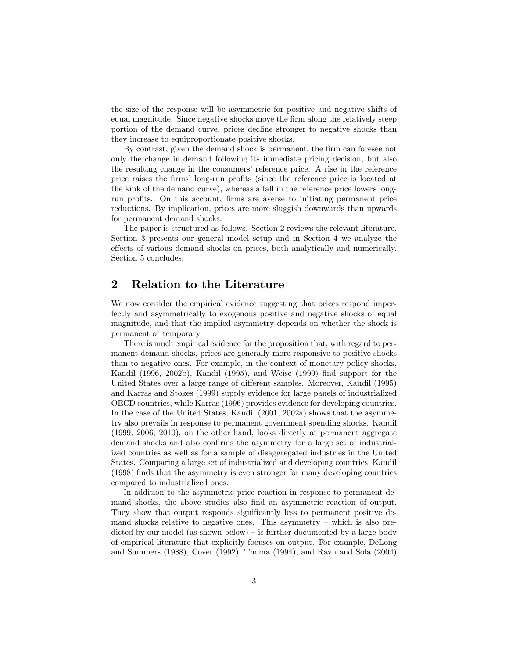the size of the response will be asymmetric for positive and negative shifts of equal magnitude. Since negative shocks move the firm along the relatively steep portion of the demand curve, prices decline stronger to negative shocks than they increase to equiproportionate positive shocks.

By contrast, given the demand shock is permanent, the firm can foresee not only the change in demand following its immediate pricing decision, but also the resulting change in the consumers' reference price. A rise in the reference price raises the firms' long-run profits (since the reference price is located at the kink of the demand curve), whereas a fall in the reference price lowers longrun profits. On this account, firms are averse to initiating permanent price reductions. By implication, prices are more sluggish downwards than upwards for permanent demand shocks.

The paper is structured as follows. Section 2 reviews the relevant literature. Section 3 presents our general model setup and in Section 4 we analyze the effects of various demand shocks on prices, both analytically and numerically. Section 5 concludes.

## 2 Relation to the Literature

We now consider the empirical evidence suggesting that prices respond imperfectly and asymmetrically to exogenous positive and negative shocks of equal magnitude, and that the implied asymmetry depends on whether the shock is permanent or temporary.

There is much empirical evidence for the proposition that, with regard to permanent demand shocks, prices are generally more responsive to positive shocks than to negative ones. For example, in the context of monetary policy shocks, Kandil (1996, 2002b), Kandil (1995), and Weise (1999) find support for the United States over a large range of different samples. Moreover, Kandil (1995) and Karras and Stokes (1999) supply evidence for large panels of industrialized OECD countries, while Karras (1996) provides evidence for developing countries. In the case of the United States, Kandil (2001, 2002a) shows that the asymmetry also prevails in response to permanent government spending shocks. Kandil (1999, 2006, 2010), on the other hand, looks directly at permanent aggregate demand shocks and also confirms the asymmetry for a large set of industrialized countries as well as for a sample of disaggregated industries in the United States. Comparing a large set of industrialized and developing countries, Kandil (1998) Önds that the asymmetry is even stronger for many developing countries compared to industrialized ones.

In addition to the asymmetric price reaction in response to permanent demand shocks, the above studies also find an asymmetric reaction of output. They show that output responds significantly less to permanent positive demand shocks relative to negative ones. This asymmetry  $-$  which is also predicted by our model (as shown below)  $\overline{\phantom{a}}$  is further documented by a large body of empirical literature that explicitly focuses on output. For example, DeLong and Summers (1988), Cover (1992), Thoma (1994), and Ravn and Sola (2004)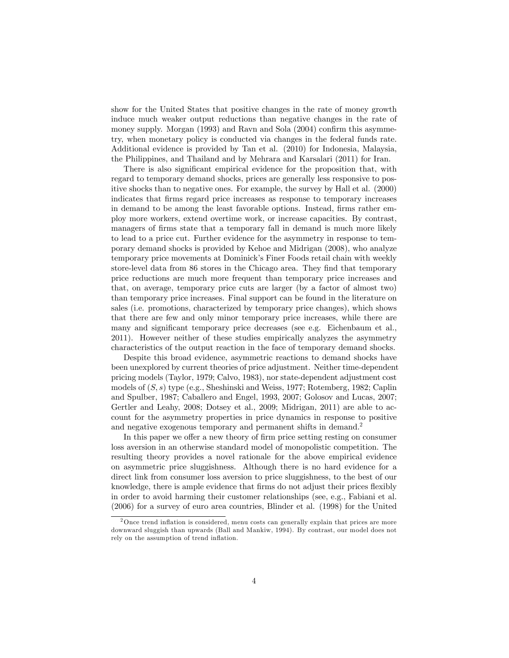show for the United States that positive changes in the rate of money growth induce much weaker output reductions than negative changes in the rate of money supply. Morgan  $(1993)$  and Ravn and Sola  $(2004)$  confirm this asymmetry, when monetary policy is conducted via changes in the federal funds rate. Additional evidence is provided by Tan et al. (2010) for Indonesia, Malaysia, the Philippines, and Thailand and by Mehrara and Karsalari (2011) for Iran.

There is also significant empirical evidence for the proposition that, with regard to temporary demand shocks, prices are generally less responsive to positive shocks than to negative ones. For example, the survey by Hall et al. (2000) indicates that Örms regard price increases as response to temporary increases in demand to be among the least favorable options. Instead, firms rather employ more workers, extend overtime work, or increase capacities. By contrast, managers of firms state that a temporary fall in demand is much more likely to lead to a price cut. Further evidence for the asymmetry in response to temporary demand shocks is provided by Kehoe and Midrigan (2008), who analyze temporary price movements at Dominickís Finer Foods retail chain with weekly store-level data from 86 stores in the Chicago area. They find that temporary price reductions are much more frequent than temporary price increases and that, on average, temporary price cuts are larger (by a factor of almost two) than temporary price increases. Final support can be found in the literature on sales (i.e. promotions, characterized by temporary price changes), which shows that there are few and only minor temporary price increases, while there are many and significant temporary price decreases (see e.g. Eichenbaum et al., 2011). However neither of these studies empirically analyzes the asymmetry characteristics of the output reaction in the face of temporary demand shocks.

Despite this broad evidence, asymmetric reactions to demand shocks have been unexplored by current theories of price adjustment. Neither time-dependent pricing models (Taylor, 1979; Calvo, 1983), nor state-dependent adjustment cost models of  $(S, s)$  type (e.g., Sheshinski and Weiss, 1977; Rotemberg, 1982; Caplin and Spulber, 1987; Caballero and Engel, 1993, 2007; Golosov and Lucas, 2007; Gertler and Leahy, 2008; Dotsey et al., 2009; Midrigan, 2011) are able to account for the asymmetry properties in price dynamics in response to positive and negative exogenous temporary and permanent shifts in demand.<sup>2</sup>

In this paper we offer a new theory of firm price setting resting on consumer loss aversion in an otherwise standard model of monopolistic competition. The resulting theory provides a novel rationale for the above empirical evidence on asymmetric price sluggishness. Although there is no hard evidence for a direct link from consumer loss aversion to price sluggishness, to the best of our knowledge, there is ample evidence that firms do not adjust their prices flexibly in order to avoid harming their customer relationships (see, e.g., Fabiani et al. (2006) for a survey of euro area countries, Blinder et al. (1998) for the United

 $2$ Once trend inflation is considered, menu costs can generally explain that prices are more downward sluggish than upwards (Ball and Mankiw, 1994). By contrast, our model does not rely on the assumption of trend inflation.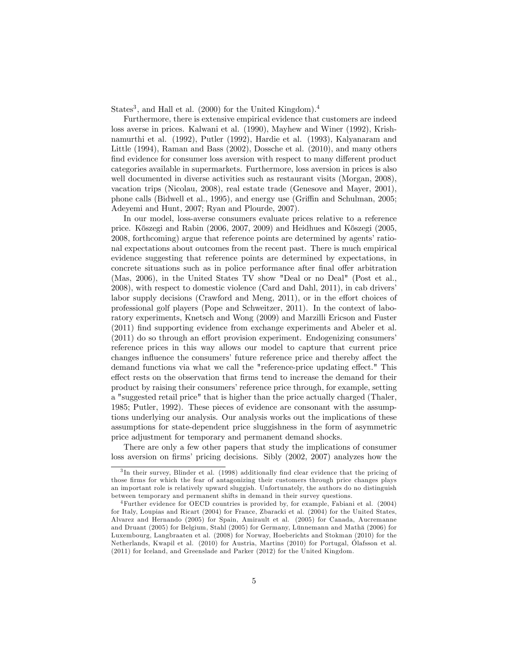States<sup>3</sup>, and Hall et al. (2000) for the United Kingdom).<sup>4</sup>

Furthermore, there is extensive empirical evidence that customers are indeed loss averse in prices. Kalwani et al. (1990), Mayhew and Winer (1992), Krishnamurthi et al. (1992), Putler (1992), Hardie et al. (1993), Kalyanaram and Little (1994), Raman and Bass (2002), Dossche et al. (2010), and many others find evidence for consumer loss aversion with respect to many different product categories available in supermarkets. Furthermore, loss aversion in prices is also well documented in diverse activities such as restaurant visits (Morgan, 2008), vacation trips (Nicolau, 2008), real estate trade (Genesove and Mayer, 2001), phone calls (Bidwell et al., 1995), and energy use (Griffin and Schulman, 2005; Adeyemi and Hunt, 2007; Ryan and Plourde, 2007).

In our model, loss-averse consumers evaluate prices relative to a reference price. Kőszegi and Rabin (2006, 2007, 2009) and Heidhues and Kőszegi (2005, 2008, forthcoming) argue that reference points are determined by agents' rational expectations about outcomes from the recent past. There is much empirical evidence suggesting that reference points are determined by expectations, in concrete situations such as in police performance after final offer arbitration (Mas, 2006), in the United States TV show "Deal or no Deal" (Post et al., 2008), with respect to domestic violence (Card and Dahl, 2011), in cab drivers' labor supply decisions (Crawford and Meng,  $2011$ ), or in the effort choices of professional golf players (Pope and Schweitzer, 2011). In the context of laboratory experiments, Knetsch and Wong (2009) and Marzilli Ericson and Fuster  $(2011)$  find supporting evidence from exchange experiments and Abeler et al.  $(2011)$  do so through an effort provision experiment. Endogenizing consumers' reference prices in this way allows our model to capture that current price changes influence the consumers' future reference price and thereby affect the demand functions via what we call the "reference-price updating effect." This effect rests on the observation that firms tend to increase the demand for their product by raising their consumers' reference price through, for example, setting a "suggested retail price" that is higher than the price actually charged (Thaler, 1985; Putler, 1992). These pieces of evidence are consonant with the assumptions underlying our analysis. Our analysis works out the implications of these assumptions for state-dependent price sluggishness in the form of asymmetric price adjustment for temporary and permanent demand shocks.

There are only a few other papers that study the implications of consumer loss aversion on firms' pricing decisions. Sibly (2002, 2007) analyzes how the

<sup>&</sup>lt;sup>3</sup>In their survey, Blinder et al. (1998) additionally find clear evidence that the pricing of those firms for which the fear of antagonizing their customers through price changes plays an important role is relatively upward sluggish. Unfortunately, the authors do no distinguish between temporary and permanent shifts in demand in their survey questions.

<sup>4</sup>Further evidence for OECD countries is provided by, for example, Fabiani et al. (2004) for Italy, Loupias and Ricart (2004) for France, Zbaracki et al. (2004) for the United States, Alvarez and Hernando (2005) for Spain, Amirault et al. (2005) for Canada, Aucremanne and Druant  $(2005)$  for Belgium, Stahl  $(2005)$  for Germany, Lünnemann and Math $\ddot{\rm a}$  (2006) for Luxembourg, Langbraaten et al. (2008) for Norway, Hoeberichts and Stokman (2010) for the Netherlands, Kwapil et al. (2010) for Austria, Martins (2010) for Portugal, Ólafsson et al. (2011) for Iceland, and Greenslade and Parker (2012) for the United Kingdom.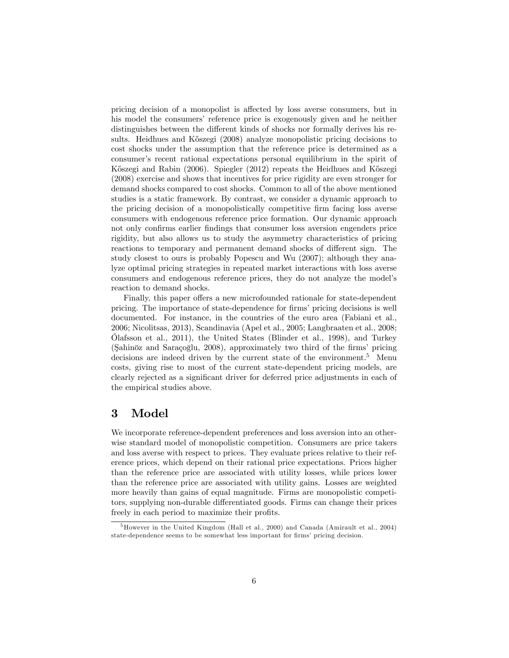pricing decision of a monopolist is affected by loss averse consumers, but in his model the consumers' reference price is exogenously given and he neither distinguishes between the different kinds of shocks nor formally derives his results. Heidhues and Kőszegi (2008) analyze monopolistic pricing decisions to cost shocks under the assumption that the reference price is determined as a consumer's recent rational expectations personal equilibrium in the spirit of Kőszegi and Rabin (2006). Spiegler (2012) repeats the Heidhues and Kőszegi (2008) exercise and shows that incentives for price rigidity are even stronger for demand shocks compared to cost shocks. Common to all of the above mentioned studies is a static framework. By contrast, we consider a dynamic approach to the pricing decision of a monopolistically competitive Örm facing loss averse consumers with endogenous reference price formation. Our dynamic approach not only confirms earlier findings that consumer loss aversion engenders price rigidity, but also allows us to study the asymmetry characteristics of pricing reactions to temporary and permanent demand shocks of different sign. The study closest to ours is probably Popescu and Wu (2007); although they analyze optimal pricing strategies in repeated market interactions with loss averse consumers and endogenous reference prices, they do not analyze the modelís reaction to demand shocks.

Finally, this paper offers a new microfounded rationale for state-dependent pricing. The importance of state-dependence for firms' pricing decisions is well documented. For instance, in the countries of the euro area (Fabiani et al., 2006; Nicolitsas, 2013), Scandinavia (Apel et al., 2005; Langbraaten et al., 2008;  $\tilde{\text{O}}$ lafsson et al., 2011), the United States (Blinder et al., 1998), and Turkey (Şahinöz and Saraçoğlu, 2008), approximately two third of the firms' pricing decisions are indeed driven by the current state of the environment.<sup>5</sup> Menu costs, giving rise to most of the current state-dependent pricing models, are clearly rejected as a significant driver for deferred price adjustments in each of the empirical studies above.

### 3 Model

We incorporate reference-dependent preferences and loss aversion into an otherwise standard model of monopolistic competition. Consumers are price takers and loss averse with respect to prices. They evaluate prices relative to their reference prices, which depend on their rational price expectations. Prices higher than the reference price are associated with utility losses, while prices lower than the reference price are associated with utility gains. Losses are weighted more heavily than gains of equal magnitude. Firms are monopolistic competitors, supplying non-durable differentiated goods. Firms can change their prices freely in each period to maximize their profits.

<sup>5</sup>However in the United Kingdom (Hall et al., 2000) and Canada (Amirault et al., 2004) state-dependence seems to be somewhat less important for firms' pricing decision.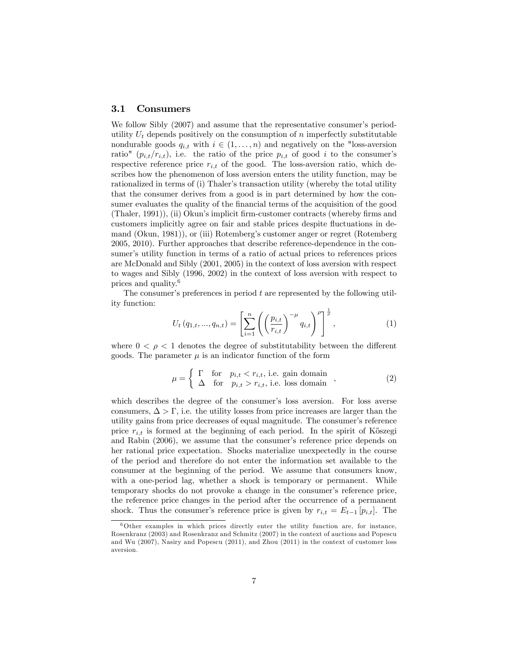#### 3.1 Consumers

We follow Sibly (2007) and assume that the representative consumer's periodutility  $U_t$  depends positively on the consumption of n imperfectly substitutable nondurable goods  $q_{i,t}$  with  $i \in (1, \ldots, n)$  and negatively on the "loss-aversion ratio"  $(p_{i,t}/r_{i,t})$ , i.e. the ratio of the price  $p_{i,t}$  of good i to the consumer's respective reference price  $r_{i,t}$  of the good. The loss-aversion ratio, which describes how the phenomenon of loss aversion enters the utility function, may be rationalized in terms of (i) Thaler's transaction utility (whereby the total utility that the consumer derives from a good is in part determined by how the consumer evaluates the quality of the financial terms of the acquisition of the good (Thaler, 1991)), (ii) Okunís implicit Örm-customer contracts (whereby Örms and customers implicitly agree on fair and stable prices despite fluctuations in demand (Okun, 1981)), or (iii) Rotembergís customer anger or regret (Rotemberg 2005, 2010). Further approaches that describe reference-dependence in the consumer's utility function in terms of a ratio of actual prices to references prices are McDonald and Sibly (2001, 2005) in the context of loss aversion with respect to wages and Sibly (1996, 2002) in the context of loss aversion with respect to prices and quality.<sup>6</sup>

The consumer's preferences in period  $t$  are represented by the following utility function:

$$
U_t(q_{1,t},...,q_{n,t}) = \left[\sum_{i=1}^n \left( \left(\frac{p_{i,t}}{r_{i,t}}\right)^{-\mu} q_{i,t} \right)^{\rho} \right]^{\frac{1}{\rho}},
$$
\n(1)

where  $0 < \rho < 1$  denotes the degree of substitutability between the different goods. The parameter  $\mu$  is an indicator function of the form

$$
\mu = \begin{cases}\n\Gamma & \text{for} \quad p_{i,t} < r_{i,t}, \text{ i.e. gain domain} \\
\Delta & \text{for} \quad p_{i,t} > r_{i,t}, \text{ i.e. loss domain}\n\end{cases},\n\tag{2}
$$

which describes the degree of the consumer's loss aversion. For loss averse consumers,  $\Delta > \Gamma$ , i.e. the utility losses from price increases are larger than the utility gains from price decreases of equal magnitude. The consumer's reference price  $r_{i,t}$  is formed at the beginning of each period. In the spirit of Kőszegi and Rabin (2006), we assume that the consumer's reference price depends on her rational price expectation. Shocks materialize unexpectedly in the course of the period and therefore do not enter the information set available to the consumer at the beginning of the period. We assume that consumers know, with a one-period lag, whether a shock is temporary or permanent. While temporary shocks do not provoke a change in the consumer's reference price, the reference price changes in the period after the occurrence of a permanent shock. Thus the consumer's reference price is given by  $r_{i,t} = E_{t-1} [p_{i,t}]$ . The

 $6$ Other examples in which prices directly enter the utility function are, for instance, Rosenkranz (2003) and Rosenkranz and Schmitz (2007) in the context of auctions and Popescu and Wu (2007), Nasiry and Popescu (2011), and Zhou (2011) in the context of customer loss aversion.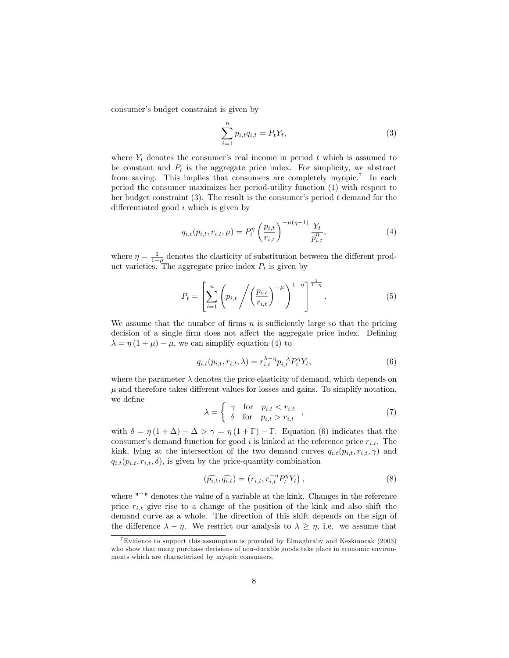consumer's budget constraint is given by

$$
\sum_{i=1}^{n} p_{i,t} q_{i,t} = P_t Y_t,
$$
\n(3)

where  $Y_t$  denotes the consumer's real income in period t which is assumed to be constant and  $P_t$  is the aggregate price index. For simplicity, we abstract from saving. This implies that consumers are completely myopic.<sup>7</sup> In each period the consumer maximizes her period-utility function (1) with respect to her budget constraint  $(3)$ . The result is the consumer's period t demand for the differentiated good  $i$  which is given by

$$
q_{i,t}(p_{i,t}, r_{i,t}, \mu) = P_t^{\eta} \left(\frac{p_{i,t}}{r_{i,t}}\right)^{-\mu(\eta-1)} \frac{Y_t}{p_{i,t}^{\eta}}, \tag{4}
$$

where  $\eta = \frac{1}{1-\rho}$  denotes the elasticity of substitution between the different product varieties. The aggregate price index  $P_t$  is given by

$$
P_{t} = \left[ \sum_{i=1}^{n} \left( p_{i,t} \middle/ \left( \frac{p_{i,t}}{r_{i,t}} \right)^{-\mu} \right)^{1-\eta} \right]^{\frac{1}{1-\eta}}.
$$
 (5)

We assume that the number of firms  $n$  is sufficiently large so that the pricing decision of a single firm does not affect the aggregate price index. Defining  $\lambda = \eta (1 + \mu) - \mu$ , we can simplify equation (4) to

$$
q_{i,t}(p_{i,t},r_{i,t},\lambda) = r_{i,t}^{\lambda-\eta} p_{i,t}^{-\lambda} P_t^{\eta} Y_t,
$$
\n(6)

where the parameter  $\lambda$  denotes the price elasticity of demand, which depends on  $\mu$  and therefore takes different values for losses and gains. To simplify notation, we define

$$
\lambda = \begin{cases}\n\gamma & \text{for} \quad p_{i,t} < r_{i,t} \\
\delta & \text{for} \quad p_{i,t} > r_{i,t}\n\end{cases},\n\tag{7}
$$

with  $\delta = \eta (1 + \Delta) - \Delta > \gamma = \eta (1 + \Gamma) - \Gamma$ . Equation (6) indicates that the consumer's demand function for good i is kinked at the reference price  $r_{i,t}$ . The kink, lying at the intersection of the two demand curves  $q_{i,t}(p_{i,t}, r_{i,t}, \gamma)$  and  $q_{i,t}(p_{i,t}, r_{i,t}, \delta)$ , is given by the price-quantity combination

$$
(\widehat{p_{i,t}}, \widehat{q_{i,t}}) = (r_{i,t}, r_{i,t}^{-\eta} P_t^{\eta} Y_t), \qquad (8)
$$

where  $"^{\sim}$ " denotes the value of a variable at the kink. Changes in the reference price  $r_{i,t}$  give rise to a change of the position of the kink and also shift the demand curve as a whole. The direction of this shift depends on the sign of the difference  $\lambda - \eta$ . We restrict our analysis to  $\lambda \geq \eta$ , i.e. we assume that

<sup>&</sup>lt;sup>7</sup>Evidence to support this assumption is provided by Elmaghraby and Keskinocak (2003) who show that many purchase decisions of non-durable goods take place in economic environments which are characterized by myopic consumers.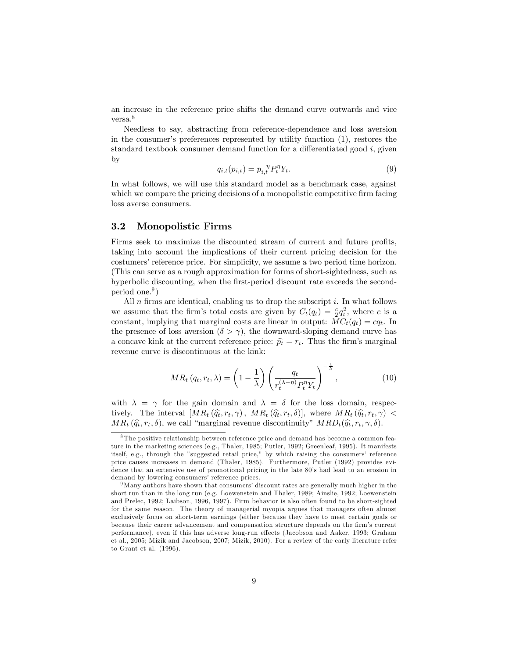an increase in the reference price shifts the demand curve outwards and vice versa.<sup>8</sup>

Needless to say, abstracting from reference-dependence and loss aversion in the consumer's preferences represented by utility function  $(1)$ , restores the standard textbook consumer demand function for a differentiated good  $i$ , given by

$$
q_{i,t}(p_{i,t}) = p_{i,t}^{-\eta} P_t^{\eta} Y_t.
$$
\n(9)

In what follows, we will use this standard model as a benchmark case, against which we compare the pricing decisions of a monopolistic competitive firm facing loss averse consumers.

#### 3.2 Monopolistic Firms

Firms seek to maximize the discounted stream of current and future profits, taking into account the implications of their current pricing decision for the costumers' reference price. For simplicity, we assume a two period time horizon. (This can serve as a rough approximation for forms of short-sightedness, such as hyperbolic discounting, when the first-period discount rate exceeds the secondperiod one.<sup>9</sup>)

All  $n$  firms are identical, enabling us to drop the subscript  $i$ . In what follows we assume that the firm's total costs are given by  $C_t(q_t) = \frac{c}{2}q_t^2$ , where c is a constant, implying that marginal costs are linear in output:  $MC_t(q_t) = cq_t$ . In the presence of loss aversion  $(\delta > \gamma)$ , the downward-sloping demand curve has a concave kink at the current reference price:  $\hat{p}_t = r_t$ . Thus the firm's marginal revenue curve is discontinuous at the kink:

$$
MR_t(q_t, r_t, \lambda) = \left(1 - \frac{1}{\lambda}\right) \left(\frac{q_t}{r_t^{(\lambda - \eta)} P_t^{\eta} Y_t}\right)^{-\frac{1}{\lambda}},\tag{10}
$$

with  $\lambda = \gamma$  for the gain domain and  $\lambda = \delta$  for the loss domain, respectively. The interval  $[MR_t(\hat{q}_t, r_t, \gamma), MR_t(\hat{q}_t, r_t, \delta)],$  where  $MR_t(\hat{q}_t, r_t, \gamma)$  <  $MR_t(\hat{q}_t, r_t, \delta)$ , we call "marginal revenue discontinuity"  $MRD_t(\hat{q}_t, r_t, \gamma, \delta)$ .

<sup>8</sup> The positive relationship between reference price and demand has become a common feature in the marketing sciences (e.g., Thaler, 1985; Putler, 1992; Greenleaf, 1995). It manifests itself, e.g., through the "suggested retail price," by which raising the consumers' reference price causes increases in demand (Thaler, 1985). Furthermore, Putler (1992) provides evidence that an extensive use of promotional pricing in the late 80's had lead to an erosion in demand by lowering consumers' reference prices.

 $9$ Many authors have shown that consumers' discount rates are generally much higher in the short run than in the long run (e.g. Loewenstein and Thaler, 1989; Ainslie, 1992; Loewenstein and Prelec, 1992; Laibson, 1996, 1997). Firm behavior is also often found to be short-sighted for the same reason. The theory of managerial myopia argues that managers often almost exclusively focus on short-term earnings (either because they have to meet certain goals or because their career advancement and compensation structure depends on the firm's current performance), even if this has adverse long-run effects (Jacobson and Aaker, 1993; Graham et al., 2005; Mizik and Jacobson, 2007; Mizik, 2010). For a review of the early literature refer to Grant et al. (1996).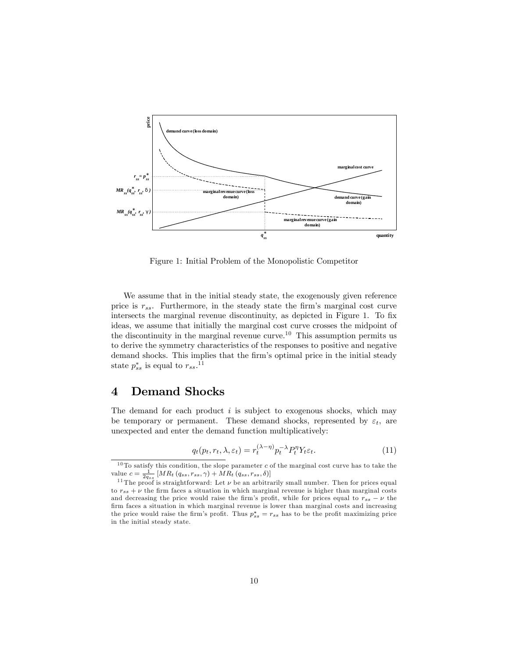

Figure 1: Initial Problem of the Monopolistic Competitor

We assume that in the initial steady state, the exogenously given reference price is  $r_{ss}$ . Furthermore, in the steady state the firm's marginal cost curve intersects the marginal revenue discontinuity, as depicted in Figure 1. To fix ideas, we assume that initially the marginal cost curve crosses the midpoint of the discontinuity in the marginal revenue curve.<sup>10</sup> This assumption permits us to derive the symmetry characteristics of the responses to positive and negative demand shocks. This implies that the firm's optimal price in the initial steady state  $p_{ss}^*$  is equal to  $r_{ss}.$ <sup>11</sup>

## 4 Demand Shocks

The demand for each product  $i$  is subject to exogenous shocks, which may be temporary or permanent. These demand shocks, represented by  $\varepsilon_t$ , are unexpected and enter the demand function multiplicatively:

$$
q_t(p_t, r_t, \lambda, \varepsilon_t) = r_t^{(\lambda - \eta)} p_t^{-\lambda} P_t^{\eta} Y_t \varepsilon_t.
$$
\n(11)

<sup>&</sup>lt;sup>10</sup> To satisfy this condition, the slope parameter c of the marginal cost curve has to take the value  $c = \frac{1}{2q_{ss}} [MR_t(q_{ss}, r_{ss}, \gamma) + MR_t(q_{ss}, r_{ss}, \delta)]$ 

<sup>&</sup>lt;sup>11</sup> The proof is straightforward: Let  $\nu$  be an arbitrarily small number. Then for prices equal to  $r_{ss} + \nu$  the firm faces a situation in which marginal revenue is higher than marginal costs and decreasing the price would raise the firm's profit, while for prices equal to  $r_{ss} - \nu$  the firm faces a situation in which marginal revenue is lower than marginal costs and increasing the price would raise the firm's profit. Thus  $p_{ss}^* = r_{ss}$  has to be the profit maximizing price in the initial steady state.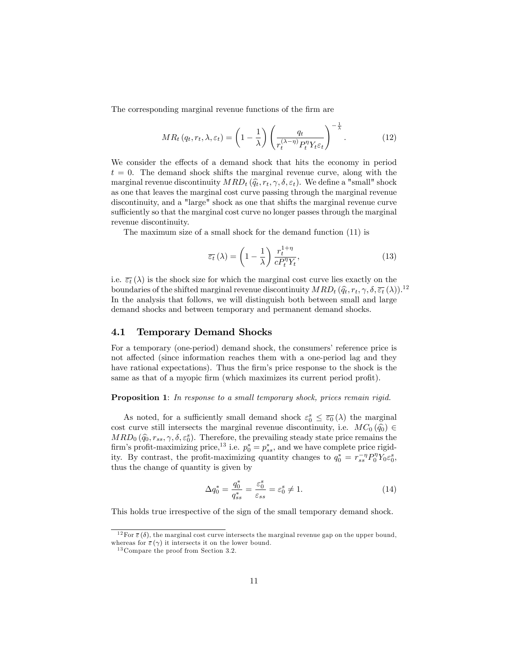The corresponding marginal revenue functions of the firm are

$$
MR_t(q_t, r_t, \lambda, \varepsilon_t) = \left(1 - \frac{1}{\lambda}\right) \left(\frac{q_t}{r_t^{(\lambda - \eta)} P_t^{\eta} Y_t \varepsilon_t}\right)^{-\frac{1}{\lambda}}.\tag{12}
$$

We consider the effects of a demand shock that hits the economy in period  $t = 0$ . The demand shock shifts the marginal revenue curve, along with the marginal revenue discontinuity  $MRD_t(\hat{q}_t, r_t, \gamma, \delta, \varepsilon_t)$ . We define a "small" shock as one that leaves the marginal cost curve passing through the marginal revenue discontinuity, and a "large" shock as one that shifts the marginal revenue curve sufficiently so that the marginal cost curve no longer passes through the marginal revenue discontinuity.

The maximum size of a small shock for the demand function (11) is

$$
\overline{\varepsilon_t}(\lambda) = \left(1 - \frac{1}{\lambda}\right) \frac{r_t^{1+\eta}}{c P_t^{\eta} Y_t},\tag{13}
$$

i.e.  $\overline{\varepsilon_t}(\lambda)$  is the shock size for which the marginal cost curve lies exactly on the boundaries of the shifted marginal revenue discontinuity  $MRD_t (\hat{q}_t, r_t, \gamma, \delta, \overline{\varepsilon_t}(\lambda))$ .<sup>12</sup> In the analysis that follows, we will distinguish both between small and large demand shocks and between temporary and permanent demand shocks.

#### 4.1 Temporary Demand Shocks

For a temporary (one-period) demand shock, the consumers' reference price is not affected (since information reaches them with a one-period lag and they have rational expectations). Thus the firm's price response to the shock is the same as that of a myopic firm (which maximizes its current period profit).

Proposition 1: In response to a small temporary shock, prices remain rigid.

As noted, for a sufficiently small demand shock  $\varepsilon_0^s \leq \overline{\varepsilon_0}(\lambda)$  the marginal cost curve still intersects the marginal revenue discontinuity, i.e.  $MC_0(\hat{q}_0) \in$  $MRD_0(\hat{q}_0, r_{ss}, \gamma, \delta, \varepsilon_0^s)$ . Therefore, the prevailing steady state price remains the  $\lim_{s \to 0} \left( q_0, t_{ss}, \gamma, o, \varepsilon_0 \right)$ . Therefore, the prevailing steady state price remains the firm's profit-maximizing price,<sup>13</sup> i.e.  $p_0^* = p_{ss}^*$ , and we have complete price rigidity. By contrast, the profit-maximizing quantity changes to  $q_0^* = r_{ss}^{-\eta} P_0^{\eta} Y_0 \varepsilon_0^s$ , thus the change of quantity is given by

$$
\Delta q_0^* = \frac{q_0^*}{q_{ss}^*} = \frac{\varepsilon_0^s}{\varepsilon_{ss}} = \varepsilon_0^s \neq 1.
$$
\n(14)

This holds true irrespective of the sign of the small temporary demand shock.

<sup>&</sup>lt;sup>12</sup> For  $\bar{\varepsilon}(\delta)$ , the marginal cost curve intersects the marginal revenue gap on the upper bound, whereas for  $\bar{\varepsilon}(\gamma)$  it intersects it on the lower bound.

<sup>&</sup>lt;sup>13</sup> Compare the proof from Section 3.2.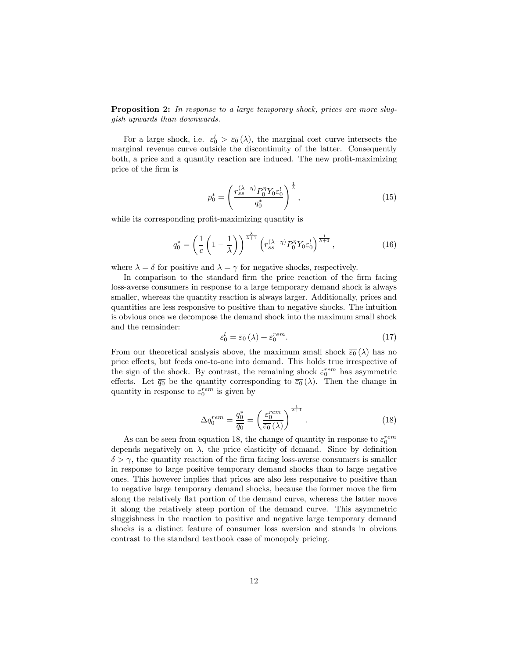**Proposition 2:** In response to a large temporary shock, prices are more sluggish upwards than downwards.

For a large shock, i.e.  $\varepsilon_0^l > \overline{\varepsilon_0}(\lambda)$ , the marginal cost curve intersects the marginal revenue curve outside the discontinuity of the latter. Consequently both, a price and a quantity reaction are induced. The new profit-maximizing price of the Örm is

$$
p_0^* = \left(\frac{r_{ss}^{(\lambda-\eta)}P_0^{\eta}Y_0\varepsilon_0^l}{q_0^*}\right)^{\frac{1}{\lambda}},\tag{15}
$$

while its corresponding profit-maximizing quantity is

$$
q_0^* = \left(\frac{1}{c}\left(1-\frac{1}{\lambda}\right)\right)^{\frac{\lambda}{\lambda+1}} \left(r_{ss}^{(\lambda-\eta)}P_0^{\eta}Y_0\varepsilon_0^l\right)^{\frac{1}{\lambda+1}},\tag{16}
$$

where  $\lambda = \delta$  for positive and  $\lambda = \gamma$  for negative shocks, respectively.

In comparison to the standard firm the price reaction of the firm facing loss-averse consumers in response to a large temporary demand shock is always smaller, whereas the quantity reaction is always larger. Additionally, prices and quantities are less responsive to positive than to negative shocks. The intuition is obvious once we decompose the demand shock into the maximum small shock and the remainder:

$$
\varepsilon_0^l = \overline{\varepsilon_0} \left( \lambda \right) + \varepsilon_0^{rem} . \tag{17}
$$

From our theoretical analysis above, the maximum small shock  $\overline{\epsilon_0}(\lambda)$  has no price effects, but feeds one-to-one into demand. This holds true irrespective of the sign of the shock. By contrast, the remaining shock  $\varepsilon_0^{rem}$  has asymmetric effects. Let  $\overline{q_0}$  be the quantity corresponding to  $\overline{\varepsilon_0}(\lambda)$ . Then the change in quantity in response to  $\varepsilon_0^{rem}$  is given by

$$
\Delta q_0^{rem} = \frac{q_0^*}{\overline{q_0}} = \left(\frac{\varepsilon_0^{rem}}{\overline{\varepsilon_0}(\lambda)}\right)^{\frac{1}{\lambda+1}}.\tag{18}
$$

As can be seen from equation 18, the change of quantity in response to  $\varepsilon_0^{rem}$ depends negatively on  $\lambda$ , the price elasticity of demand. Since by definition  $\delta > \gamma$ , the quantity reaction of the firm facing loss-averse consumers is smaller in response to large positive temporary demand shocks than to large negative ones. This however implies that prices are also less responsive to positive than to negative large temporary demand shocks, because the former move the Örm along the relatively flat portion of the demand curve, whereas the latter move it along the relatively steep portion of the demand curve. This asymmetric sluggishness in the reaction to positive and negative large temporary demand shocks is a distinct feature of consumer loss aversion and stands in obvious contrast to the standard textbook case of monopoly pricing.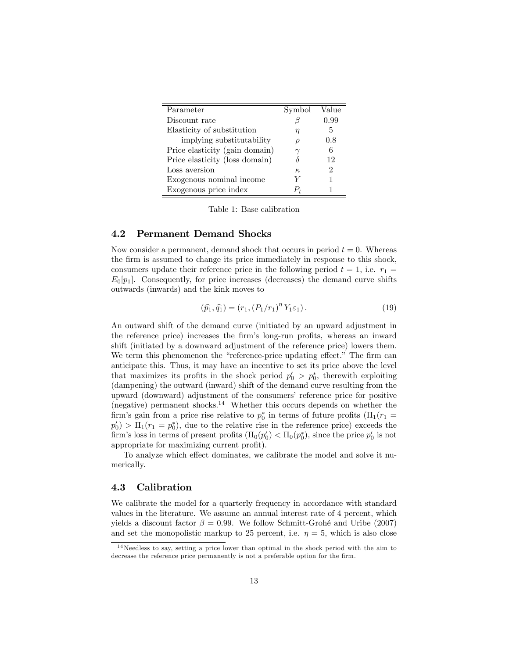| Parameter                      | Symbol   | Value |
|--------------------------------|----------|-------|
| Discount rate                  |          | 0.99  |
| Elasticity of substitution     | η        | 5     |
| implying substitutability      |          | 0.8   |
| Price elasticity (gain domain) |          | 6     |
| Price elasticity (loss domain) |          | 12    |
| Loss aversion                  | $\kappa$ | 2     |
| Exogenous nominal income       | V        |       |
| Exogenous price index          | P+       |       |

Table 1: Base calibration

#### 4.2 Permanent Demand Shocks

Now consider a permanent, demand shock that occurs in period  $t = 0$ . Whereas the firm is assumed to change its price immediately in response to this shock, consumers update their reference price in the following period  $t = 1$ , i.e.  $r_1 =$  $E_0[p_1]$ . Consequently, for price increases (decreases) the demand curve shifts outwards (inwards) and the kink moves to

$$
(\hat{p}_1, \hat{q}_1) = (r_1, (P_1/r_1)^{\eta} Y_1 \varepsilon_1).
$$
 (19)

An outward shift of the demand curve (initiated by an upward adjustment in the reference price) increases the firm's long-run profits, whereas an inward shift (initiated by a downward adjustment of the reference price) lowers them. We term this phenomenon the "reference-price updating effect." The firm can anticipate this. Thus, it may have an incentive to set its price above the level that maximizes its profits in the shock period  $p'_0 > p_0^*$ , therewith exploiting (dampening) the outward (inward) shift of the demand curve resulting from the upward (downward) adjustment of the consumers' reference price for positive (negative) permanent shocks.<sup>14</sup> Whether this occurs depends on whether the firm's gain from a price rise relative to  $p_0^*$  in terms of future profits ( $\Pi_1(r_1 =$  $p'_0$  >  $\Pi_1(r_1 = p_0^*)$ , due to the relative rise in the reference price) exceeds the firm's loss in terms of present profits  $(\Pi_0(p'_0) < \Pi_0(p_0^*))$ , since the price  $p'_0$  is not appropriate for maximizing current profit).

To analyze which effect dominates, we calibrate the model and solve it numerically.

#### 4.3 Calibration

We calibrate the model for a quarterly frequency in accordance with standard values in the literature. We assume an annual interest rate of 4 percent, which yields a discount factor  $\beta = 0.99$ . We follow Schmitt-Grohé and Uribe (2007) and set the monopolistic markup to 25 percent, i.e.  $\eta = 5$ , which is also close

<sup>&</sup>lt;sup>14</sup>Needless to say, setting a price lower than optimal in the shock period with the aim to decrease the reference price permanently is not a preferable option for the firm.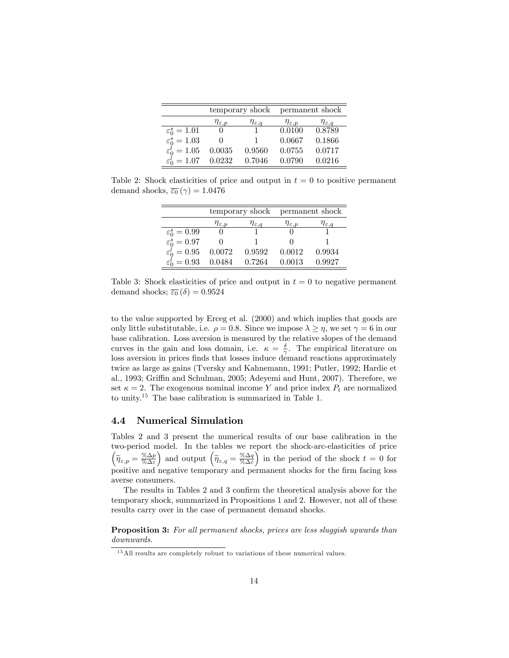|                                 |                        |                        | temporary shock permanent shock |                        |
|---------------------------------|------------------------|------------------------|---------------------------------|------------------------|
|                                 | $\eta_{\varepsilon,p}$ | $\eta_{\varepsilon,q}$ | $\eta_{\varepsilon,p}$          | $\eta_{\varepsilon,q}$ |
| $\varepsilon_0^s = 1.01$        | $^{(1)}$               |                        | 0.0100                          | 0.8789                 |
| $\varepsilon_0^s = 1.03$        |                        |                        | 0.0667                          | 0.1866                 |
| $\varepsilon_0^l = 1.05$        | 0.0035                 | 0.9560                 | 0.0755                          | 0.0717                 |
| $\varepsilon_0^l = 1.07$ 0.0232 |                        | 0.7046                 | 0.0790                          | 0.0216                 |

Table 2: Shock elasticities of price and output in  $t = 0$  to positive permanent demand shocks,  $\overline{\varepsilon_0}(\gamma) = 1.0476$ 

|                                 |                        |                        | temporary shock permanent shock |                        |
|---------------------------------|------------------------|------------------------|---------------------------------|------------------------|
|                                 | $\eta_{\varepsilon,p}$ | $\eta_{\varepsilon,q}$ | $\eta_{\varepsilon,p}$          | $\eta_{\varepsilon,q}$ |
| $\varepsilon_0^s = 0.99$        |                        |                        |                                 |                        |
| $\varepsilon_0^s = 0.97$        |                        |                        | $\mathbf{0}$                    |                        |
| $\varepsilon_0^l=0.95$          | 0.0072                 | 0.9592                 | 0.0012                          | 0.9934                 |
| $\varepsilon_0^l = 0.93$ 0.0484 |                        | 0.7264                 | 0.0013                          | 0.9927                 |

Table 3: Shock elasticities of price and output in  $t = 0$  to negative permanent demand shocks;  $\overline{\varepsilon_0}(\delta) = 0.9524$ 

to the value supported by Erceg et al. (2000) and which implies that goods are only little substitutable, i.e.  $\rho = 0.8$ . Since we impose  $\lambda \geq \eta$ , we set  $\gamma = 6$  in our base calibration. Loss aversion is measured by the relative slopes of the demand curves in the gain and loss domain, i.e.  $\kappa = \frac{\delta}{\gamma}$ . The empirical literature on loss aversion in prices finds that losses induce demand reactions approximately twice as large as gains (Tversky and Kahnemann, 1991; Putler, 1992; Hardie et al., 1993; Griffin and Schulman, 2005; Adeyemi and Hunt, 2007). Therefore, we set  $\kappa = 2$ . The exogenous nominal income Y and price index  $P_t$  are normalized to unity.<sup>15</sup> The base calibration is summarized in Table 1.

#### 4.4 Numerical Simulation

Tables 2 and 3 present the numerical results of our base calibration in the two-period model. In the tables we report the shock-arc-elasticities of price  $\boxed{\widetilde{\eta}_{\varepsilon,p} = \frac{\% \Delta p}{\% \Delta \varepsilon}}$ ) and output  $\left(\widetilde\eta_{\varepsilon,q}=\frac{\%\Delta q}{\%\Delta\varepsilon}\right)$ in the period of the shock  $t = 0$  for positive and negative temporary and permanent shocks for the firm facing loss averse consumers.

The results in Tables 2 and 3 confirm the theoretical analysis above for the temporary shock, summarized in Propositions 1 and 2. However, not all of these results carry over in the case of permanent demand shocks.

Proposition 3: For all permanent shocks, prices are less sluggish upwards than downwards.

 $15$  All results are completely robust to variations of these numerical values.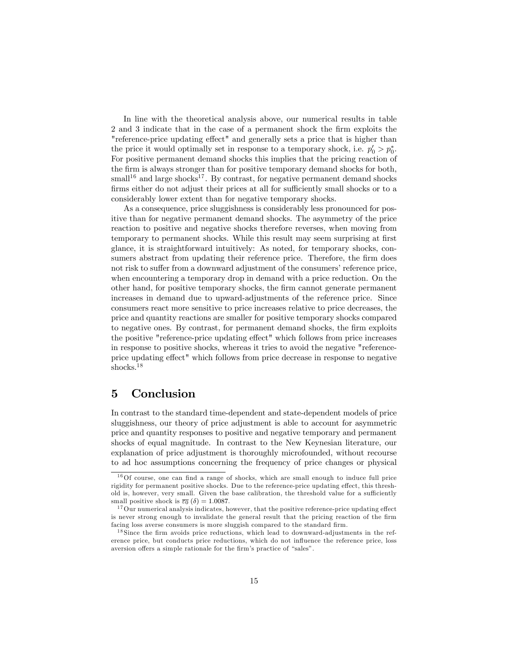In line with the theoretical analysis above, our numerical results in table 2 and 3 indicate that in the case of a permanent shock the firm exploits the "reference-price updating effect" and generally sets a price that is higher than the price it would optimally set in response to a temporary shock, i.e.  $p'_0 > p_0^*$ . For positive permanent demand shocks this implies that the pricing reaction of the firm is always stronger than for positive temporary demand shocks for both, small<sup>16</sup> and large shocks<sup>17</sup>. By contrast, for negative permanent demand shocks firms either do not adjust their prices at all for sufficiently small shocks or to a considerably lower extent than for negative temporary shocks.

As a consequence, price sluggishness is considerably less pronounced for positive than for negative permanent demand shocks. The asymmetry of the price reaction to positive and negative shocks therefore reverses, when moving from temporary to permanent shocks. While this result may seem surprising at first glance, it is straightforward intuitively: As noted, for temporary shocks, consumers abstract from updating their reference price. Therefore, the firm does not risk to suffer from a downward adjustment of the consumers' reference price, when encountering a temporary drop in demand with a price reduction. On the other hand, for positive temporary shocks, the firm cannot generate permanent increases in demand due to upward-adjustments of the reference price. Since consumers react more sensitive to price increases relative to price decreases, the price and quantity reactions are smaller for positive temporary shocks compared to negative ones. By contrast, for permanent demand shocks, the firm exploits the positive "reference-price updating effect" which follows from price increases in response to positive shocks, whereas it tries to avoid the negative "referenceprice updating effect" which follows from price decrease in response to negative shocks.<sup>18</sup>

## 5 Conclusion

In contrast to the standard time-dependent and state-dependent models of price sluggishness, our theory of price adjustment is able to account for asymmetric price and quantity responses to positive and negative temporary and permanent shocks of equal magnitude. In contrast to the New Keynesian literature, our explanation of price adjustment is thoroughly microfounded, without recourse to ad hoc assumptions concerning the frequency of price changes or physical

 $16$ Of course, one can find a range of shocks, which are small enough to induce full price rigidity for permanent positive shocks. Due to the reference-price updating effect, this threshold is, however, very small. Given the base calibration, the threshold value for a sufficiently small positive shock is  $\overline{\varepsilon_0}$  ( $\delta$ ) = 1.0087.

 $17$  Our numerical analysis indicates, however, that the positive reference-price updating effect is never strong enough to invalidate the general result that the pricing reaction of the firm facing loss averse consumers is more sluggish compared to the standard firm.

 $18 \text{ Since the firm avoids price reductions, which lead to downward-adjustments in the ref$ erence price, but conducts price reductions, which do not ináuence the reference price, loss aversion offers a simple rationale for the firm's practice of "sales".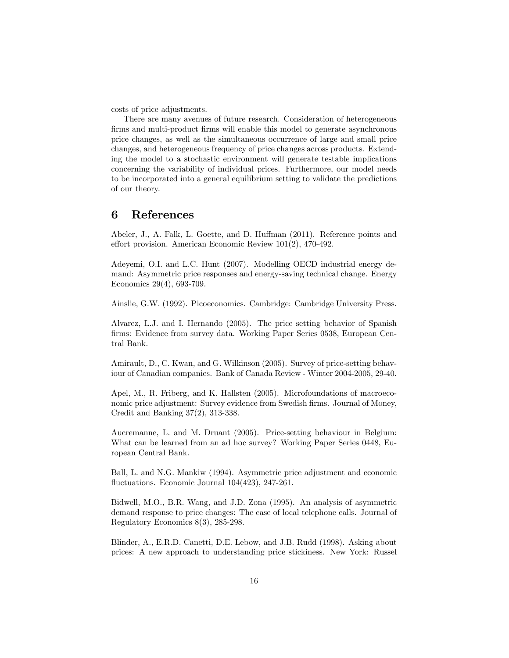costs of price adjustments.

There are many avenues of future research. Consideration of heterogeneous firms and multi-product firms will enable this model to generate asynchronous price changes, as well as the simultaneous occurrence of large and small price changes, and heterogeneous frequency of price changes across products. Extending the model to a stochastic environment will generate testable implications concerning the variability of individual prices. Furthermore, our model needs to be incorporated into a general equilibrium setting to validate the predictions of our theory.

### 6 References

Abeler, J., A. Falk, L. Goette, and D. Huffman (2011). Reference points and effort provision. American Economic Review  $101(2)$ , 470-492.

Adeyemi, O.I. and L.C. Hunt (2007). Modelling OECD industrial energy demand: Asymmetric price responses and energy-saving technical change. Energy Economics 29(4), 693-709.

Ainslie, G.W. (1992). Picoeconomics. Cambridge: Cambridge University Press.

Alvarez, L.J. and I. Hernando (2005). The price setting behavior of Spanish firms: Evidence from survey data. Working Paper Series 0538, European Central Bank.

Amirault, D., C. Kwan, and G. Wilkinson (2005). Survey of price-setting behaviour of Canadian companies. Bank of Canada Review - Winter 2004-2005, 29-40.

Apel, M., R. Friberg, and K. Hallsten (2005). Microfoundations of macroeconomic price adjustment: Survey evidence from Swedish firms. Journal of Money, Credit and Banking 37(2), 313-338.

Aucremanne, L. and M. Druant (2005). Price-setting behaviour in Belgium: What can be learned from an ad hoc survey? Working Paper Series 0448, European Central Bank.

Ball, L. and N.G. Mankiw (1994). Asymmetric price adjustment and economic fluctuations. Economic Journal  $104(423)$ , 247-261.

Bidwell, M.O., B.R. Wang, and J.D. Zona (1995). An analysis of asymmetric demand response to price changes: The case of local telephone calls. Journal of Regulatory Economics 8(3), 285-298.

Blinder, A., E.R.D. Canetti, D.E. Lebow, and J.B. Rudd (1998). Asking about prices: A new approach to understanding price stickiness. New York: Russel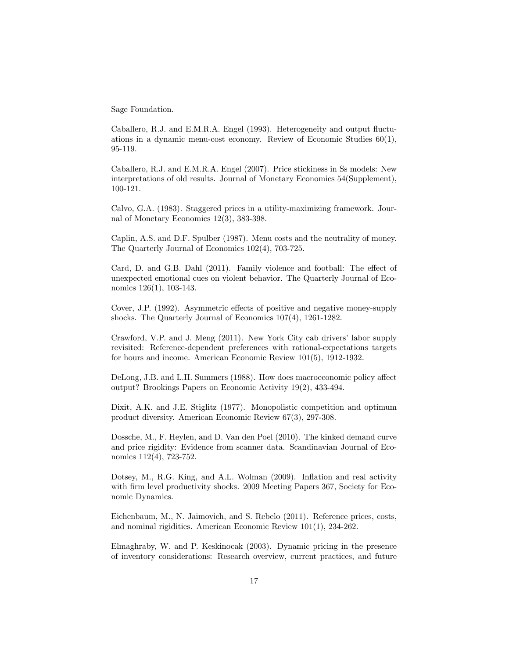Sage Foundation.

Caballero, R.J. and E.M.R.A. Engel (1993). Heterogeneity and output fluctuations in a dynamic menu-cost economy. Review of Economic Studies 60(1), 95-119.

Caballero, R.J. and E.M.R.A. Engel (2007). Price stickiness in Ss models: New interpretations of old results. Journal of Monetary Economics 54(Supplement), 100-121.

Calvo, G.A. (1983). Staggered prices in a utility-maximizing framework. Journal of Monetary Economics 12(3), 383-398.

Caplin, A.S. and D.F. Spulber (1987). Menu costs and the neutrality of money. The Quarterly Journal of Economics 102(4), 703-725.

Card, D. and G.B. Dahl (2011). Family violence and football: The effect of unexpected emotional cues on violent behavior. The Quarterly Journal of Economics 126(1), 103-143.

Cover, J.P. (1992). Asymmetric effects of positive and negative money-supply shocks. The Quarterly Journal of Economics 107(4), 1261-1282.

Crawford, V.P. and J. Meng (2011). New York City cab drivers' labor supply revisited: Reference-dependent preferences with rational-expectations targets for hours and income. American Economic Review 101(5), 1912-1932.

DeLong, J.B. and L.H. Summers (1988). How does macroeconomic policy affect output? Brookings Papers on Economic Activity 19(2), 433-494.

Dixit, A.K. and J.E. Stiglitz (1977). Monopolistic competition and optimum product diversity. American Economic Review 67(3), 297-308.

Dossche, M., F. Heylen, and D. Van den Poel (2010). The kinked demand curve and price rigidity: Evidence from scanner data. Scandinavian Journal of Economics 112(4), 723-752.

Dotsey, M., R.G. King, and A.L. Wolman (2009). Inflation and real activity with firm level productivity shocks. 2009 Meeting Papers 367, Society for Economic Dynamics.

Eichenbaum, M., N. Jaimovich, and S. Rebelo (2011). Reference prices, costs, and nominal rigidities. American Economic Review 101(1), 234-262.

Elmaghraby, W. and P. Keskinocak (2003). Dynamic pricing in the presence of inventory considerations: Research overview, current practices, and future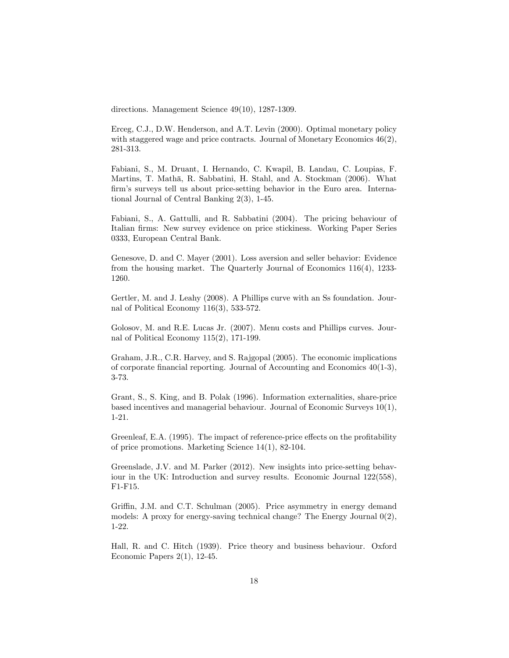directions. Management Science 49(10), 1287-1309.

Erceg, C.J., D.W. Henderson, and A.T. Levin (2000). Optimal monetary policy with staggered wage and price contracts. Journal of Monetary Economics  $46(2)$ , 281-313.

Fabiani, S., M. Druant, I. Hernando, C. Kwapil, B. Landau, C. Loupias, F. Martins, T. Mathä, R. Sabbatini, H. Stahl, and A. Stockman (2006). What firm's surveys tell us about price-setting behavior in the Euro area. International Journal of Central Banking 2(3), 1-45.

Fabiani, S., A. Gattulli, and R. Sabbatini (2004). The pricing behaviour of Italian firms: New survey evidence on price stickiness. Working Paper Series 0333, European Central Bank.

Genesove, D. and C. Mayer (2001). Loss aversion and seller behavior: Evidence from the housing market. The Quarterly Journal of Economics 116(4), 1233- 1260.

Gertler, M. and J. Leahy (2008). A Phillips curve with an Ss foundation. Journal of Political Economy 116(3), 533-572.

Golosov, M. and R.E. Lucas Jr. (2007). Menu costs and Phillips curves. Journal of Political Economy 115(2), 171-199.

Graham, J.R., C.R. Harvey, and S. Rajgopal (2005). The economic implications of corporate financial reporting. Journal of Accounting and Economics  $40(1-3)$ , 3-73.

Grant, S., S. King, and B. Polak (1996). Information externalities, share-price based incentives and managerial behaviour. Journal of Economic Surveys 10(1), 1-21.

Greenleaf, E.A. (1995). The impact of reference-price effects on the profitability of price promotions. Marketing Science 14(1), 82-104.

Greenslade, J.V. and M. Parker (2012). New insights into price-setting behaviour in the UK: Introduction and survey results. Economic Journal 122(558), F1-F15.

Griffin, J.M. and C.T. Schulman (2005). Price asymmetry in energy demand models: A proxy for energy-saving technical change? The Energy Journal 0(2), 1-22.

Hall, R. and C. Hitch (1939). Price theory and business behaviour. Oxford Economic Papers 2(1), 12-45.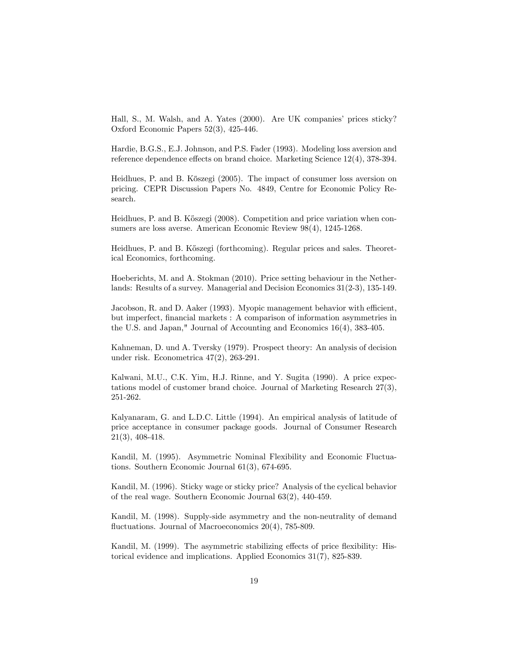Hall, S., M. Walsh, and A. Yates (2000). Are UK companies' prices sticky? Oxford Economic Papers 52(3), 425-446.

Hardie, B.G.S., E.J. Johnson, and P.S. Fader (1993). Modeling loss aversion and reference dependence effects on brand choice. Marketing Science  $12(4)$ , 378-394.

Heidhues, P. and B. Kőszegi (2005). The impact of consumer loss aversion on pricing. CEPR Discussion Papers No. 4849, Centre for Economic Policy Research.

Heidhues, P. and B. Kőszegi (2008). Competition and price variation when consumers are loss averse. American Economic Review 98(4), 1245-1268.

Heidhues, P. and B. Kőszegi (forthcoming). Regular prices and sales. Theoretical Economics, forthcoming.

Hoeberichts, M. and A. Stokman (2010). Price setting behaviour in the Netherlands: Results of a survey. Managerial and Decision Economics 31(2-3), 135-149.

Jacobson, R. and D. Aaker (1993). Myopic management behavior with efficient, but imperfect, Önancial markets : A comparison of information asymmetries in the U.S. and Japan," Journal of Accounting and Economics 16(4), 383-405.

Kahneman, D. und A. Tversky (1979). Prospect theory: An analysis of decision under risk. Econometrica 47(2), 263-291.

Kalwani, M.U., C.K. Yim, H.J. Rinne, and Y. Sugita (1990). A price expectations model of customer brand choice. Journal of Marketing Research 27(3), 251-262.

Kalyanaram, G. and L.D.C. Little (1994). An empirical analysis of latitude of price acceptance in consumer package goods. Journal of Consumer Research 21(3), 408-418.

Kandil, M. (1995). Asymmetric Nominal Flexibility and Economic Fluctuations. Southern Economic Journal 61(3), 674-695.

Kandil, M. (1996). Sticky wage or sticky price? Analysis of the cyclical behavior of the real wage. Southern Economic Journal 63(2), 440-459.

Kandil, M. (1998). Supply-side asymmetry and the non-neutrality of demand fluctuations. Journal of Macroeconomics  $20(4)$ , 785-809.

Kandil, M. (1999). The asymmetric stabilizing effects of price flexibility: Historical evidence and implications. Applied Economics 31(7), 825-839.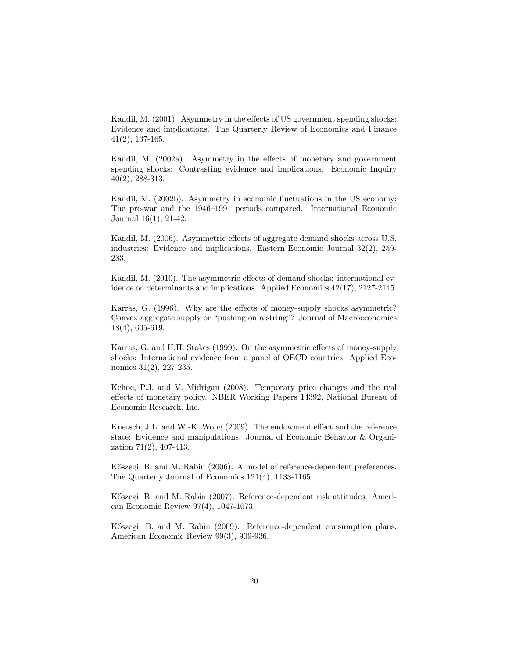Kandil, M. (2001). Asymmetry in the effects of US government spending shocks: Evidence and implications. The Quarterly Review of Economics and Finance 41(2), 137-165.

Kandil, M. (2002a). Asymmetry in the effects of monetary and government spending shocks: Contrasting evidence and implications. Economic Inquiry 40(2), 288-313.

Kandil, M. (2002b). Asymmetry in economic fluctuations in the US economy: The pre-war and the 1946–1991 periods compared. International Economic Journal 16(1), 21-42.

Kandil, M. (2006). Asymmetric effects of aggregate demand shocks across U.S. industries: Evidence and implications. Eastern Economic Journal 32(2), 259- 283.

Kandil, M. (2010). The asymmetric effects of demand shocks: international evidence on determinants and implications. Applied Economics 42(17), 2127-2145.

Karras, G. (1996). Why are the effects of money-supply shocks asymmetric? Convex aggregate supply or "pushing on a string"? Journal of Macroeconomics 18(4), 605-619.

Karras, G. and H.H. Stokes (1999). On the asymmetric effects of money-supply shocks: International evidence from a panel of OECD countries. Applied Economics 31(2), 227-235.

Kehoe, P.J. and V. Midrigan (2008). Temporary price changes and the real effects of monetary policy. NBER Working Papers 14392, National Bureau of Economic Research, Inc.

Knetsch, J.L. and W.-K. Wong  $(2009)$ . The endowment effect and the reference state: Evidence and manipulations. Journal of Economic Behavior & Organization 71(2), 407-413.

Kőszegi, B. and M. Rabin (2006). A model of reference-dependent preferences. The Quarterly Journal of Economics 121(4), 1133-1165.

Kőszegi, B. and M. Rabin (2007). Reference-dependent risk attitudes. American Economic Review 97(4), 1047-1073.

K½oszegi, B. and M. Rabin (2009). Reference-dependent consumption plans. American Economic Review 99(3), 909-936.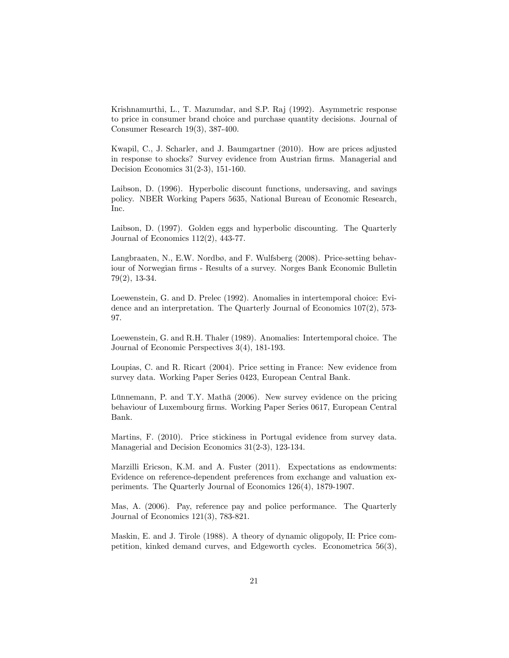Krishnamurthi, L., T. Mazumdar, and S.P. Raj (1992). Asymmetric response to price in consumer brand choice and purchase quantity decisions. Journal of Consumer Research 19(3), 387-400.

Kwapil, C., J. Scharler, and J. Baumgartner (2010). How are prices adjusted in response to shocks? Survey evidence from Austrian firms. Managerial and Decision Economics 31(2-3), 151-160.

Laibson, D. (1996). Hyperbolic discount functions, undersaving, and savings policy. NBER Working Papers 5635, National Bureau of Economic Research, Inc.

Laibson, D. (1997). Golden eggs and hyperbolic discounting. The Quarterly Journal of Economics 112(2), 443-77.

Langbraaten, N., E.W. Nordbø, and F. Wulfsberg (2008). Price-setting behaviour of Norwegian firms - Results of a survey. Norges Bank Economic Bulletin 79(2), 13-34.

Loewenstein, G. and D. Prelec (1992). Anomalies in intertemporal choice: Evidence and an interpretation. The Quarterly Journal of Economics 107(2), 573- 97.

Loewenstein, G. and R.H. Thaler (1989). Anomalies: Intertemporal choice. The Journal of Economic Perspectives 3(4), 181-193.

Loupias, C. and R. Ricart (2004). Price setting in France: New evidence from survey data. Working Paper Series 0423, European Central Bank.

Lünnemann, P. and T.Y. Mathä (2006). New survey evidence on the pricing behaviour of Luxembourg firms. Working Paper Series 0617, European Central Bank.

Martins, F. (2010). Price stickiness in Portugal evidence from survey data. Managerial and Decision Economics 31(2-3), 123-134.

Marzilli Ericson, K.M. and A. Fuster (2011). Expectations as endowments: Evidence on reference-dependent preferences from exchange and valuation experiments. The Quarterly Journal of Economics 126(4), 1879-1907.

Mas, A. (2006). Pay, reference pay and police performance. The Quarterly Journal of Economics 121(3), 783-821.

Maskin, E. and J. Tirole (1988). A theory of dynamic oligopoly, II: Price competition, kinked demand curves, and Edgeworth cycles. Econometrica 56(3),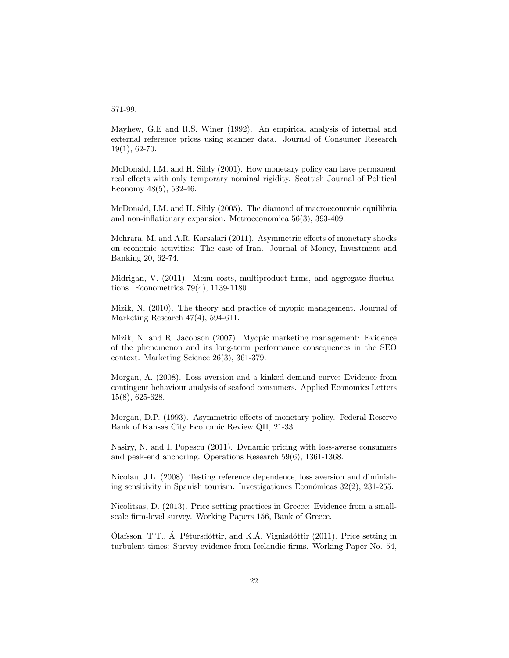#### 571-99.

Mayhew, G.E and R.S. Winer (1992). An empirical analysis of internal and external reference prices using scanner data. Journal of Consumer Research 19(1), 62-70.

McDonald, I.M. and H. Sibly (2001). How monetary policy can have permanent real effects with only temporary nominal rigidity. Scottish Journal of Political Economy 48(5), 532-46.

McDonald, I.M. and H. Sibly (2005). The diamond of macroeconomic equilibria and non-inflationary expansion. Metroeconomica 56(3), 393-409.

Mehrara, M. and A.R. Karsalari (2011). Asymmetric effects of monetary shocks on economic activities: The case of Iran. Journal of Money, Investment and Banking 20, 62-74.

Midrigan, V. (2011). Menu costs, multiproduct firms, and aggregate fluctuations. Econometrica 79(4), 1139-1180.

Mizik, N. (2010). The theory and practice of myopic management. Journal of Marketing Research 47(4), 594-611.

Mizik, N. and R. Jacobson (2007). Myopic marketing management: Evidence of the phenomenon and its long-term performance consequences in the SEO context. Marketing Science 26(3), 361-379.

Morgan, A. (2008). Loss aversion and a kinked demand curve: Evidence from contingent behaviour analysis of seafood consumers. Applied Economics Letters 15(8), 625-628.

Morgan, D.P. (1993). Asymmetric effects of monetary policy. Federal Reserve Bank of Kansas City Economic Review QII, 21-33.

Nasiry, N. and I. Popescu (2011). Dynamic pricing with loss-averse consumers and peak-end anchoring. Operations Research 59(6), 1361-1368.

Nicolau, J.L. (2008). Testing reference dependence, loss aversion and diminishing sensitivity in Spanish tourism. Investigationes Económicas  $32(2)$ ,  $231-255$ .

Nicolitsas, D. (2013). Price setting practices in Greece: Evidence from a smallscale firm-level survey. Working Papers 156, Bank of Greece.

 $\Lambda$  Dafsson, T.T.,  $\Lambda$ . Pétursdóttir, and K. $\Lambda$ . Vignisdóttir (2011). Price setting in turbulent times: Survey evidence from Icelandic Örms. Working Paper No. 54,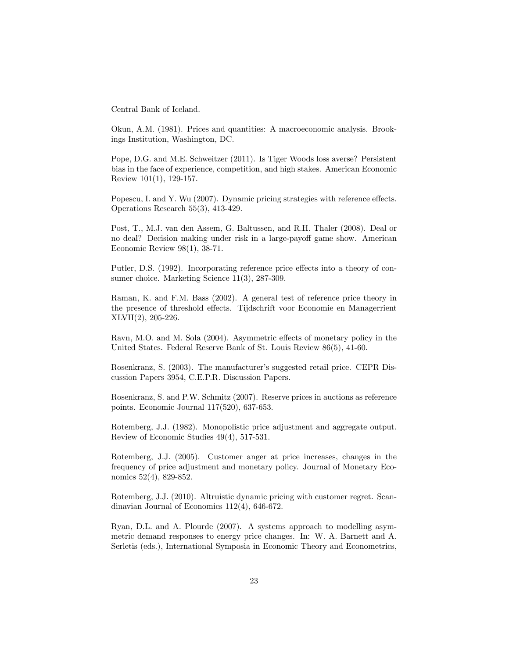Central Bank of Iceland.

Okun, A.M. (1981). Prices and quantities: A macroeconomic analysis. Brookings Institution, Washington, DC.

Pope, D.G. and M.E. Schweitzer (2011). Is Tiger Woods loss averse? Persistent bias in the face of experience, competition, and high stakes. American Economic Review 101(1), 129-157.

Popescu, I. and Y. Wu (2007). Dynamic pricing strategies with reference effects. Operations Research 55(3), 413-429.

Post, T., M.J. van den Assem, G. Baltussen, and R.H. Thaler (2008). Deal or no deal? Decision making under risk in a large-payoff game show. American Economic Review 98(1), 38-71.

Putler, D.S. (1992). Incorporating reference price effects into a theory of consumer choice. Marketing Science 11(3), 287-309.

Raman, K. and F.M. Bass (2002). A general test of reference price theory in the presence of threshold effects. Tijdschrift voor Economie en Managerrient XLVII(2), 205-226.

Ravn, M.O. and M. Sola (2004). Asymmetric effects of monetary policy in the United States. Federal Reserve Bank of St. Louis Review 86(5), 41-60.

Rosenkranz, S. (2003). The manufacturer's suggested retail price. CEPR Discussion Papers 3954, C.E.P.R. Discussion Papers.

Rosenkranz, S. and P.W. Schmitz (2007). Reserve prices in auctions as reference points. Economic Journal 117(520), 637-653.

Rotemberg, J.J. (1982). Monopolistic price adjustment and aggregate output. Review of Economic Studies 49(4), 517-531.

Rotemberg, J.J. (2005). Customer anger at price increases, changes in the frequency of price adjustment and monetary policy. Journal of Monetary Economics 52(4), 829-852.

Rotemberg, J.J. (2010). Altruistic dynamic pricing with customer regret. Scandinavian Journal of Economics 112(4), 646-672.

Ryan, D.L. and A. Plourde (2007). A systems approach to modelling asymmetric demand responses to energy price changes. In: W. A. Barnett and A. Serletis (eds.), International Symposia in Economic Theory and Econometrics,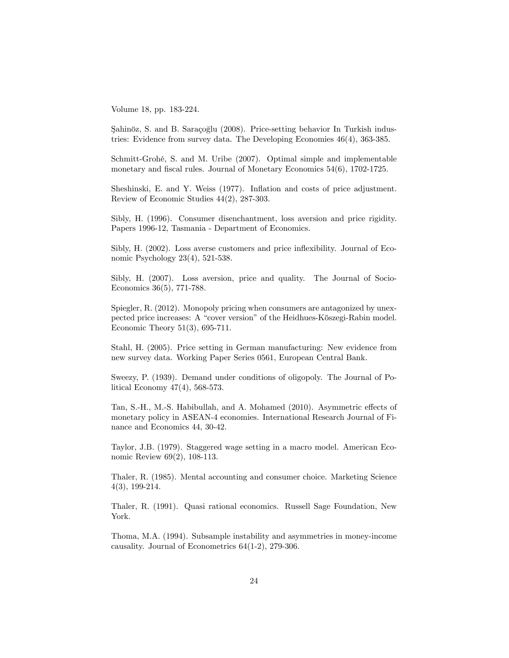Volume 18, pp. 183-224.

Sahinöz, S. and B. Saraçoğlu (2008). Price-setting behavior In Turkish industries: Evidence from survey data. The Developing Economies 46(4), 363-385.

Schmitt-Grohé, S. and M. Uribe (2007). Optimal simple and implementable monetary and fiscal rules. Journal of Monetary Economics  $54(6)$ ,  $1702-1725$ .

Sheshinski, E. and Y. Weiss (1977). Inflation and costs of price adjustment. Review of Economic Studies 44(2), 287-303.

Sibly, H. (1996). Consumer disenchantment, loss aversion and price rigidity. Papers 1996-12, Tasmania - Department of Economics.

Sibly, H. (2002). Loss averse customers and price inflexibility. Journal of Economic Psychology 23(4), 521-538.

Sibly, H. (2007). Loss aversion, price and quality. The Journal of Socio-Economics 36(5), 771-788.

Spiegler, R. (2012). Monopoly pricing when consumers are antagonized by unexpected price increases: A "cover version" of the Heidhues-Kőszegi-Rabin model. Economic Theory 51(3), 695-711.

Stahl, H. (2005). Price setting in German manufacturing: New evidence from new survey data. Working Paper Series 0561, European Central Bank.

Sweezy, P. (1939). Demand under conditions of oligopoly. The Journal of Political Economy 47(4), 568-573.

Tan, S.-H., M.-S. Habibullah, and A. Mohamed (2010). Asymmetric effects of monetary policy in ASEAN-4 economies. International Research Journal of Finance and Economics 44, 30-42.

Taylor, J.B. (1979). Staggered wage setting in a macro model. American Economic Review 69(2), 108-113.

Thaler, R. (1985). Mental accounting and consumer choice. Marketing Science 4(3), 199-214.

Thaler, R. (1991). Quasi rational economics. Russell Sage Foundation, New York.

Thoma, M.A. (1994). Subsample instability and asymmetries in money-income causality. Journal of Econometrics 64(1-2), 279-306.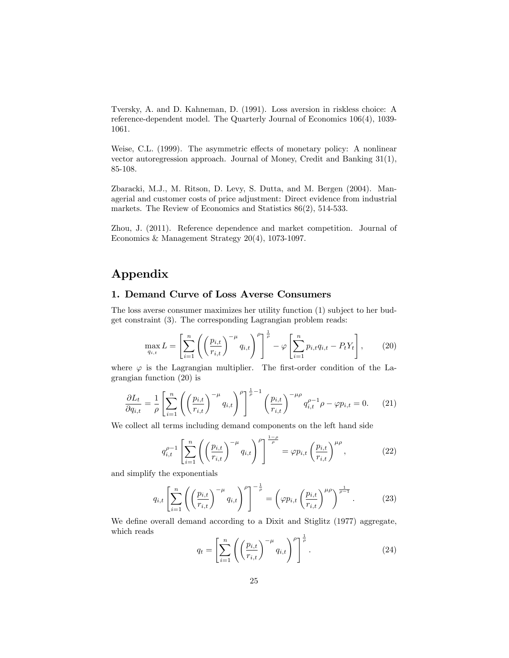Tversky, A. and D. Kahneman, D. (1991). Loss aversion in riskless choice: A reference-dependent model. The Quarterly Journal of Economics 106(4), 1039- 1061.

Weise, C.L. (1999). The asymmetric effects of monetary policy: A nonlinear vector autoregression approach. Journal of Money, Credit and Banking 31(1), 85-108.

Zbaracki, M.J., M. Ritson, D. Levy, S. Dutta, and M. Bergen (2004). Managerial and customer costs of price adjustment: Direct evidence from industrial markets. The Review of Economics and Statistics 86(2), 514-533.

Zhou, J. (2011). Reference dependence and market competition. Journal of Economics & Management Strategy 20(4), 1073-1097.

## Appendix

#### 1. Demand Curve of Loss Averse Consumers

The loss averse consumer maximizes her utility function (1) subject to her budget constraint (3). The corresponding Lagrangian problem reads:

$$
\max_{q_{i,t}} L = \left[ \sum_{i=1}^n \left( \left( \frac{p_{i,t}}{r_{i,t}} \right)^{-\mu} q_{i,t} \right)^{\rho} \right]^{\frac{1}{\rho}} - \varphi \left[ \sum_{i=1}^n p_{i,t} q_{i,t} - P_t Y_t \right],\tag{20}
$$

where  $\varphi$  is the Lagrangian multiplier. The first-order condition of the Lagrangian function (20) is

$$
\frac{\partial L_t}{\partial q_{i,t}} = \frac{1}{\rho} \left[ \sum_{i=1}^n \left( \left( \frac{p_{i,t}}{r_{i,t}} \right)^{-\mu} q_{i,t} \right)^{\rho} \right]^{\frac{1}{\rho}-1} \left( \frac{p_{i,t}}{r_{i,t}} \right)^{-\mu\rho} q_{i,t}^{\rho-1} \rho - \varphi p_{i,t} = 0. \tag{21}
$$

We collect all terms including demand components on the left hand side

$$
q_{i,t}^{\rho-1} \left[ \sum_{i=1}^n \left( \left( \frac{p_{i,t}}{r_{i,t}} \right)^{-\mu} q_{i,t} \right)^{\rho} \right]^{\frac{1-\rho}{\rho}} = \varphi p_{i,t} \left( \frac{p_{i,t}}{r_{i,t}} \right)^{\mu \rho}, \tag{22}
$$

and simplify the exponentials

$$
q_{i,t} \left[ \sum_{i=1}^n \left( \left( \frac{p_{i,t}}{r_{i,t}} \right)^{-\mu} q_{i,t} \right)^{\rho} \right]^{-\frac{1}{\rho}} = \left( \varphi p_{i,t} \left( \frac{p_{i,t}}{r_{i,t}} \right)^{\mu \rho} \right)^{\frac{1}{\rho-1}}.
$$
 (23)

We define overall demand according to a Dixit and Stiglitz (1977) aggregate, which reads

$$
q_t = \left[\sum_{i=1}^n \left( \left(\frac{p_{i,t}}{r_{i,t}}\right)^{-\mu} q_{i,t} \right)^{\rho} \right]^{\frac{1}{\rho}}.
$$
 (24)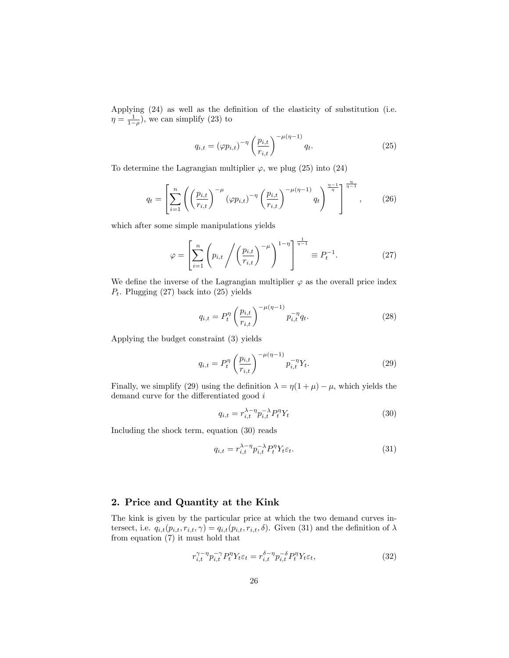Applying  $(24)$  as well as the definition of the elasticity of substitution (i.e.  $\eta = \frac{1}{1-\rho}$ , we can simplify (23) to

$$
q_{i,t} = (\varphi p_{i,t})^{-\eta} \left(\frac{p_{i,t}}{r_{i,t}}\right)^{-\mu(\eta-1)} q_t.
$$
 (25)

To determine the Lagrangian multiplier  $\varphi$ , we plug (25) into (24)

$$
q_{t} = \left[\sum_{i=1}^{n} \left( \left(\frac{p_{i,t}}{r_{i,t}}\right)^{-\mu} (\varphi p_{i,t})^{-\eta} \left(\frac{p_{i,t}}{r_{i,t}}\right)^{-\mu(\eta-1)} q_{t} \right)^{\frac{\eta-1}{\eta}} \right]^{\frac{\eta}{\eta-1}}, \quad (26)
$$

which after some simple manipulations yields

$$
\varphi = \left[ \sum_{i=1}^{n} \left( p_{i,t} \middle/ \left( \frac{p_{i,t}}{r_{i,t}} \right)^{-\mu} \right)^{1-\eta} \right]^{\frac{1}{\eta-1}} \equiv P_t^{-1}.
$$
 (27)

We define the inverse of the Lagrangian multiplier  $\varphi$  as the overall price index  $P_t$ . Plugging (27) back into (25) yields

$$
q_{i,t} = P_t^{\eta} \left(\frac{p_{i,t}}{r_{i,t}}\right)^{-\mu(\eta-1)} p_{i,t}^{-\eta} q_t.
$$
 (28)

Applying the budget constraint (3) yields

$$
q_{i,t} = P_t^{\eta} \left( \frac{p_{i,t}}{r_{i,t}} \right)^{-\mu(\eta - 1)} p_{i,t}^{-\eta} Y_t.
$$
 (29)

Finally, we simplify (29) using the definition  $\lambda = \eta(1 + \mu) - \mu$ , which yields the demand curve for the differentiated good  $i$ 

$$
q_{i,t} = r_{i,t}^{\lambda - \eta} p_{i,t}^{-\lambda} P_t^{\eta} Y_t
$$
\n(30)

Including the shock term, equation (30) reads

$$
q_{i,t} = r_{i,t}^{\lambda - \eta} p_{i,t}^{-\lambda} P_t^{\eta} Y_t \varepsilon_t.
$$
\n(31)

#### 2. Price and Quantity at the Kink

The kink is given by the particular price at which the two demand curves intersect, i.e.  $q_{i,t}(p_{i,t}, r_{i,t}, \gamma) = q_{i,t}(p_{i,t}, r_{i,t}, \delta)$ . Given (31) and the definition of  $\lambda$ from equation (7) it must hold that

$$
r_{i,t}^{\gamma-\eta} p_{i,t}^{-\gamma} P_t^{\eta} Y_t \varepsilon_t = r_{i,t}^{\delta-\eta} p_{i,t}^{-\delta} P_t^{\eta} Y_t \varepsilon_t,\tag{32}
$$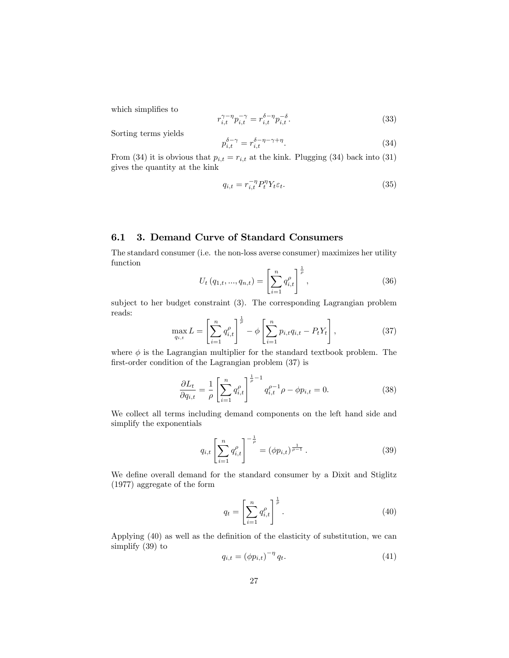which simplifies to

$$
r_{i,t}^{\gamma - \eta} p_{i,t}^{-\gamma} = r_{i,t}^{\delta - \eta} p_{i,t}^{-\delta}.
$$
 (33)

Sorting terms yields

$$
p_{i,t}^{\delta - \gamma} = r_{i,t}^{\delta - \eta - \gamma + \eta}.
$$
\n(34)

From (34) it is obvious that  $p_{i,t} = r_{i,t}$  at the kink. Plugging (34) back into (31) gives the quantity at the kink

$$
q_{i,t} = r_{i,t}^{-\eta} P_t^{\eta} Y_t \varepsilon_t.
$$
\n(35)

#### 6.1 3. Demand Curve of Standard Consumers

The standard consumer (i.e. the non-loss averse consumer) maximizes her utility function

$$
U_t(q_{1,t},...,q_{n,t}) = \left[\sum_{i=1}^n q_{i,t}^\rho\right]^{\frac{1}{\rho}},\tag{36}
$$

subject to her budget constraint (3). The corresponding Lagrangian problem reads:

$$
\max_{q_{i,t}} L = \left[ \sum_{i=1}^n q_{i,t}^\rho \right]^{\frac{1}{\rho}} - \phi \left[ \sum_{i=1}^n p_{i,t} q_{i,t} - P_t Y_t \right],\tag{37}
$$

where  $\phi$  is the Lagrangian multiplier for the standard textbook problem. The first-order condition of the Lagrangian problem  $(37)$  is

$$
\frac{\partial L_t}{\partial q_{i,t}} = \frac{1}{\rho} \left[ \sum_{i=1}^n q_{i,t}^\rho \right]^{-\frac{1}{\rho} - 1} q_{i,t}^{\rho - 1} \rho - \phi p_{i,t} = 0. \tag{38}
$$

We collect all terms including demand components on the left hand side and simplify the exponentials

$$
q_{i,t} \left[ \sum_{i=1}^{n} q_{i,t}^{\rho} \right]^{-\frac{1}{\rho}} = (\phi p_{i,t})^{\frac{1}{\rho-1}}.
$$
 (39)

We define overall demand for the standard consumer by a Dixit and Stiglitz (1977) aggregate of the form

$$
q_t = \left[\sum_{i=1}^n q_{i,t}^\rho\right]^{\frac{1}{\rho}}.\tag{40}
$$

Applying  $(40)$  as well as the definition of the elasticity of substitution, we can simplify (39) to

$$
q_{i,t} = \left(\phi p_{i,t}\right)^{-\eta} q_t. \tag{41}
$$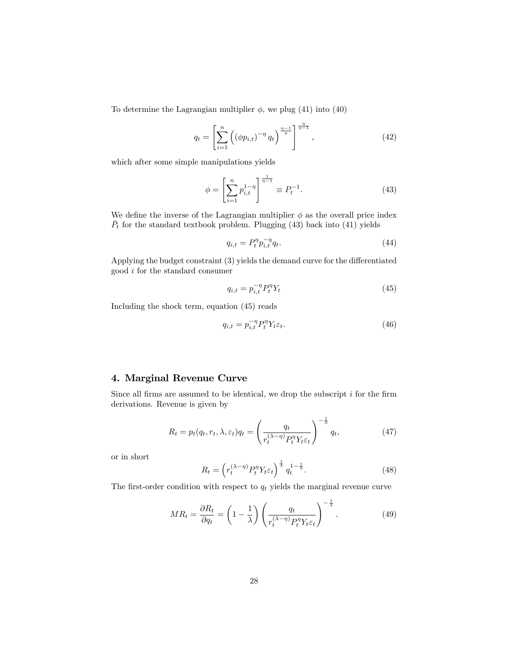To determine the Lagrangian multiplier  $\phi$ , we plug (41) into (40)

$$
q_t = \left[ \sum_{i=1}^n \left( (\phi p_{i,t})^{-\eta} q_t \right)^{\frac{\eta-1}{\eta}} \right]^{\frac{\eta}{\eta-1}}, \tag{42}
$$

which after some simple manipulations yields

$$
\phi = \left[\sum_{i=1}^{n} p_{i,t}^{1-\eta}\right]^{\frac{1}{\eta-1}} \equiv P_t^{-1}.
$$
\n(43)

We define the inverse of the Lagrangian multiplier  $\phi$  as the overall price index  $\overline{P}_t$  for the standard textbook problem. Plugging (43) back into (41) yields

$$
q_{i,t} = P_t^{\eta} p_{i,t}^{-\eta} q_t.
$$
\n(44)

Applying the budget constraint  $(3)$  yields the demand curve for the differentiated good i for the standard consumer

$$
q_{i,t} = p_{i,t}^{-\eta} P_t^{\eta} Y_t \tag{45}
$$

Including the shock term, equation (45) reads

$$
q_{i,t} = p_{i,t}^{-\eta} P_t^{\eta} Y_t \varepsilon_t.
$$
\n(46)

#### 4. Marginal Revenue Curve

Since all firms are assumed to be identical, we drop the subscript  $i$  for the firm derivations. Revenue is given by

$$
R_t = p_t(q_t, r_t, \lambda, \varepsilon_t) q_t = \left(\frac{q_t}{r_t^{(\lambda - \eta)} P_t^{\eta} Y_t \varepsilon_t}\right)^{-\frac{1}{\lambda}} q_t,
$$
\n(47)

or in short

$$
R_t = \left(r_t^{(\lambda - \eta)} P_t^{\eta} Y_t \varepsilon_t\right)^{\frac{1}{\lambda}} q_t^{1 - \frac{1}{\lambda}}.
$$
\n(48)

The first-order condition with respect to  $q_t$  yields the marginal revenue curve

$$
MR_t = \frac{\partial R_t}{\partial q_t} = \left(1 - \frac{1}{\lambda}\right) \left(\frac{q_t}{r_t^{(\lambda - \eta)} P_t^{\eta} Y_t \varepsilon_t}\right)^{-\frac{1}{\lambda}}.
$$
 (49)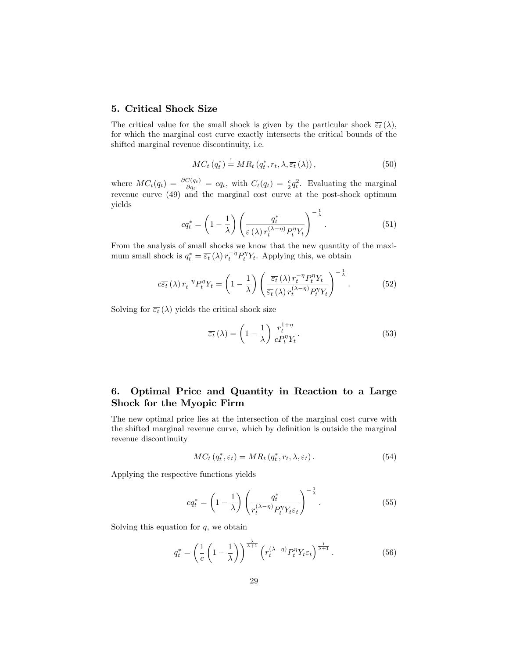#### 5. Critical Shock Size

The critical value for the small shock is given by the particular shock  $\overline{\varepsilon_t}(\lambda)$ , for which the marginal cost curve exactly intersects the critical bounds of the shifted marginal revenue discontinuity, i.e.

$$
MC_t(q_t^*) \stackrel{!}{=} MR_t(q_t^*, r_t, \lambda, \overline{\varepsilon_t}(\lambda)), \qquad (50)
$$

where  $MC_t(q_t) = \frac{\partial C(q_t)}{\partial q_t} = cq_t$ , with  $C_t(q_t) = \frac{c}{2}q_t^2$ . Evaluating the marginal revenue curve (49) and the marginal cost curve at the post-shock optimum yields

$$
cq_t^* = \left(1 - \frac{1}{\lambda}\right) \left(\frac{q_t^*}{\varepsilon(\lambda) r_t^{(\lambda - \eta)} P_t^{\eta} Y_t}\right)^{-\frac{1}{\lambda}}.
$$
\n(51)

From the analysis of small shocks we know that the new quantity of the maximum small shock is  $q_t^* = \overline{\varepsilon_t}(\lambda) r_t^{-\eta} P_t^{\eta} Y_t$ . Applying this, we obtain

$$
c\overline{\varepsilon_t}(\lambda) r_t^{-\eta} P_t^{\eta} Y_t = \left(1 - \frac{1}{\lambda}\right) \left(\frac{\overline{\varepsilon_t}(\lambda) r_t^{-\eta} P_t^{\eta} Y_t}{\overline{\varepsilon_t}(\lambda) r_t^{(\lambda - \eta)} P_t^{\eta} Y_t}\right)^{-\frac{1}{\lambda}}.
$$
(52)

Solving for  $\overline{\varepsilon_t}(\lambda)$  yields the critical shock size

$$
\overline{\varepsilon_t}(\lambda) = \left(1 - \frac{1}{\lambda}\right) \frac{r_t^{1+\eta}}{c P_t^{\eta} Y_t}.
$$
\n(53)

### 6. Optimal Price and Quantity in Reaction to a Large Shock for the Myopic Firm

The new optimal price lies at the intersection of the marginal cost curve with the shifted marginal revenue curve, which by definition is outside the marginal revenue discontinuity

$$
MC_t(q_t^*, \varepsilon_t) = MR_t(q_t^*, r_t, \lambda, \varepsilon_t).
$$
\n(54)

Applying the respective functions yields

$$
cq_t^* = \left(1 - \frac{1}{\lambda}\right) \left(\frac{q_t^*}{r_t^{(\lambda - \eta)} P_t^{\eta} Y_t \varepsilon_t}\right)^{-\frac{1}{\lambda}}.\tag{55}
$$

Solving this equation for  $q$ , we obtain

$$
q_t^* = \left(\frac{1}{c}\left(1 - \frac{1}{\lambda}\right)\right)^{\frac{\lambda}{\lambda+1}} \left(r_t^{(\lambda-\eta)}P_t^{\eta}Y_t\varepsilon_t\right)^{\frac{1}{\lambda+1}}.\tag{56}
$$